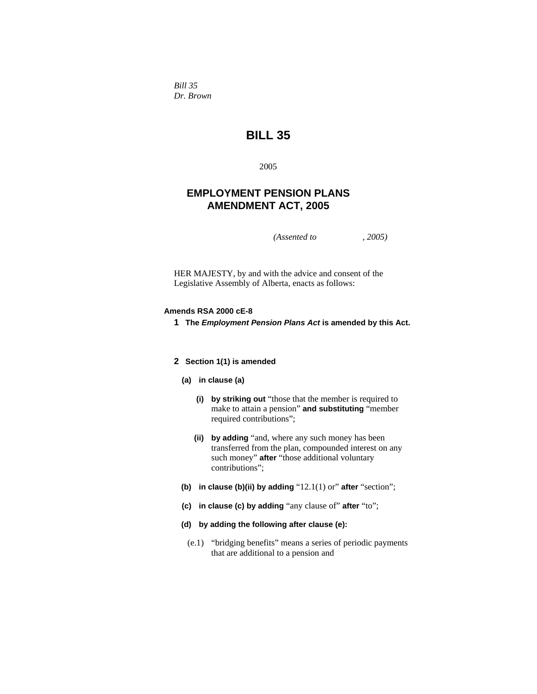*Bill 35 Dr. Brown* 

# **BILL 35**

2005

# **EMPLOYMENT PENSION PLANS AMENDMENT ACT, 2005**

*(Assented to , 2005)* 

HER MAJESTY, by and with the advice and consent of the Legislative Assembly of Alberta, enacts as follows:

## **Amends RSA 2000 cE-8**

**1 The** *Employment Pension Plans Act* **is amended by this Act.**

## **2 Section 1(1) is amended**

- **(a) in clause (a)**
	- **(i) by striking out** "those that the member is required to make to attain a pension" **and substituting** "member required contributions";
	- **(ii) by adding** "and, where any such money has been transferred from the plan, compounded interest on any such money" **after** "those additional voluntary contributions";
- **(b) in clause (b)(ii) by adding** "12.1(1) or" **after** "section";
- **(c) in clause (c) by adding** "any clause of" **after** "to";
- **(d) by adding the following after clause (e):**
- (e.1) "bridging benefits" means a series of periodic payments that are additional to a pension and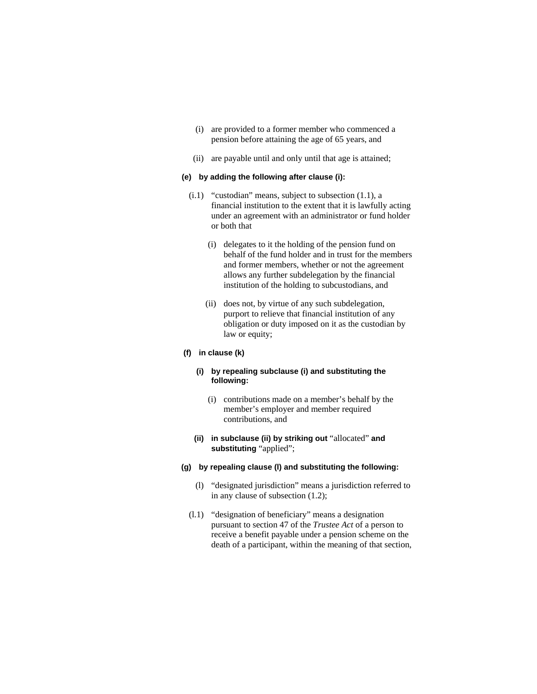- (i) are provided to a former member who commenced a pension before attaining the age of 65 years, and
- (ii) are payable until and only until that age is attained;

#### **(e) by adding the following after clause (i):**

- (i.1) "custodian" means, subject to subsection (1.1), a financial institution to the extent that it is lawfully acting under an agreement with an administrator or fund holder or both that
	- (i) delegates to it the holding of the pension fund on behalf of the fund holder and in trust for the members and former members, whether or not the agreement allows any further subdelegation by the financial institution of the holding to subcustodians, and
	- (ii) does not, by virtue of any such subdelegation, purport to relieve that financial institution of any obligation or duty imposed on it as the custodian by law or equity;

#### **(f) in clause (k)**

# **(i) by repealing subclause (i) and substituting the following:**

- (i) contributions made on a member's behalf by the member's employer and member required contributions, and
- **(ii) in subclause (ii) by striking out** "allocated" **and substituting** "applied";

## **(g) by repealing clause (l) and substituting the following:**

- (l) "designated jurisdiction" means a jurisdiction referred to in any clause of subsection (1.2);
- (l.1) "designation of beneficiary" means a designation pursuant to section 47 of the *Trustee Act* of a person to receive a benefit payable under a pension scheme on the death of a participant, within the meaning of that section,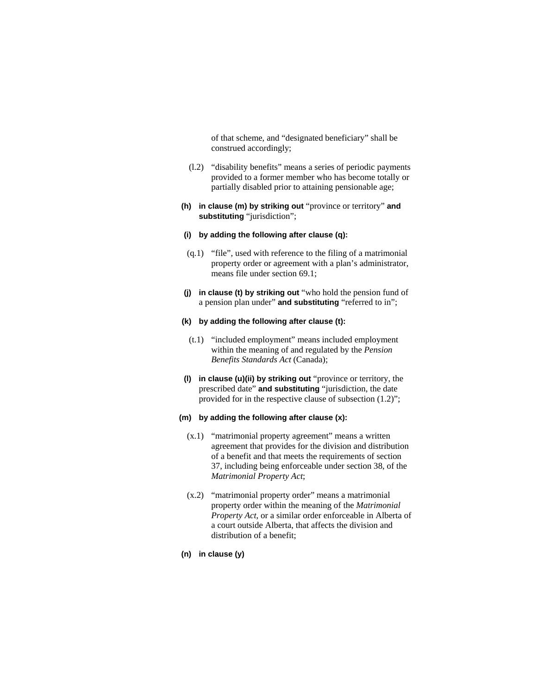of that scheme, and "designated beneficiary" shall be construed accordingly;

- (l.2) "disability benefits" means a series of periodic payments provided to a former member who has become totally or partially disabled prior to attaining pensionable age;
- **(h) in clause (m) by striking out** "province or territory" **and substituting** "jurisdiction";

#### **(i) by adding the following after clause (q):**

- (q.1) "file", used with reference to the filing of a matrimonial property order or agreement with a plan's administrator, means file under section 69.1;
- **(j) in clause (t) by striking out** "who hold the pension fund of a pension plan under" **and substituting** "referred to in";

#### **(k) by adding the following after clause (t):**

- (t.1) "included employment" means included employment within the meaning of and regulated by the *Pension Benefits Standards Act* (Canada);
- **(l) in clause (u)(ii) by striking out** "province or territory, the prescribed date" **and substituting** "jurisdiction, the date provided for in the respective clause of subsection (1.2)";

## **(m) by adding the following after clause (x):**

- (x.1) "matrimonial property agreement" means a written agreement that provides for the division and distribution of a benefit and that meets the requirements of section 37, including being enforceable under section 38, of the *Matrimonial Property Act*;
- (x.2) "matrimonial property order" means a matrimonial property order within the meaning of the *Matrimonial Property Act*, or a similar order enforceable in Alberta of a court outside Alberta, that affects the division and distribution of a benefit;
- **(n) in clause (y)**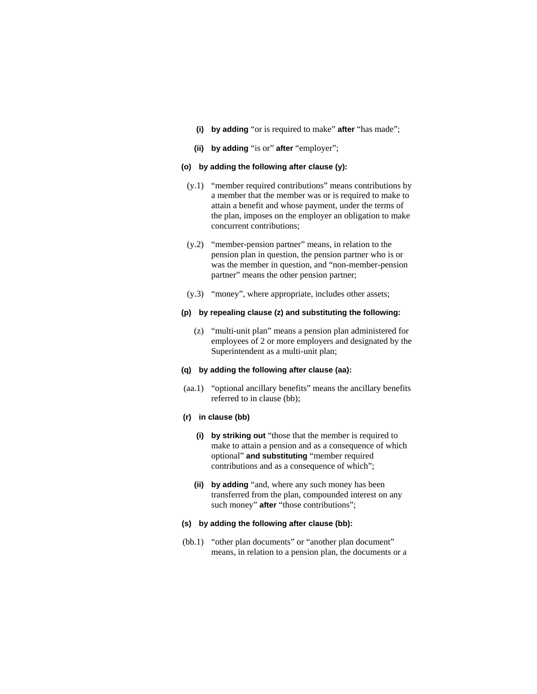- **(i) by adding** "or is required to make" **after** "has made";
- **(ii) by adding** "is or" **after** "employer";

#### **(o) by adding the following after clause (y):**

- (y.1) "member required contributions" means contributions by a member that the member was or is required to make to attain a benefit and whose payment, under the terms of the plan, imposes on the employer an obligation to make concurrent contributions;
- (y.2) "member-pension partner" means, in relation to the pension plan in question, the pension partner who is or was the member in question, and "non-member-pension partner" means the other pension partner;
- (y.3) "money", where appropriate, includes other assets;

## **(p) by repealing clause (z) and substituting the following:**

 (z) "multi-unit plan" means a pension plan administered for employees of 2 or more employers and designated by the Superintendent as a multi-unit plan;

#### **(q) by adding the following after clause (aa):**

 (aa.1) "optional ancillary benefits" means the ancillary benefits referred to in clause (bb);

## **(r) in clause (bb)**

- **(i) by striking out** "those that the member is required to make to attain a pension and as a consequence of which optional" **and substituting** "member required contributions and as a consequence of which";
- **(ii) by adding** "and, where any such money has been transferred from the plan, compounded interest on any such money" **after** "those contributions";

#### **(s) by adding the following after clause (bb):**

(bb.1) "other plan documents" or "another plan document" means, in relation to a pension plan, the documents or a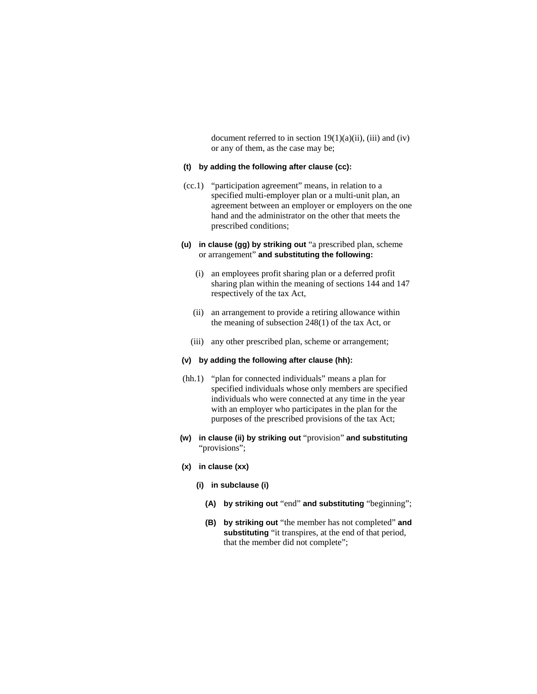document referred to in section  $19(1)(a)(ii)$ , (iii) and (iv) or any of them, as the case may be;

#### **(t) by adding the following after clause (cc):**

- (cc.1) "participation agreement" means, in relation to a specified multi-employer plan or a multi-unit plan, an agreement between an employer or employers on the one hand and the administrator on the other that meets the prescribed conditions;
- **(u) in clause (gg) by striking out** "a prescribed plan, scheme or arrangement" **and substituting the following:**
	- (i) an employees profit sharing plan or a deferred profit sharing plan within the meaning of sections 144 and 147 respectively of the tax Act,
	- (ii) an arrangement to provide a retiring allowance within the meaning of subsection 248(1) of the tax Act, or
	- (iii) any other prescribed plan, scheme or arrangement;

#### **(v) by adding the following after clause (hh):**

- (hh.1) "plan for connected individuals" means a plan for specified individuals whose only members are specified individuals who were connected at any time in the year with an employer who participates in the plan for the purposes of the prescribed provisions of the tax Act;
- **(w) in clause (ii) by striking out** "provision" **and substituting**  "provisions";
- **(x) in clause (xx)**
	- **(i) in subclause (i)**
		- **(A) by striking out** "end" **and substituting** "beginning";
		- **(B) by striking out** "the member has not completed" **and substituting** "it transpires, at the end of that period, that the member did not complete";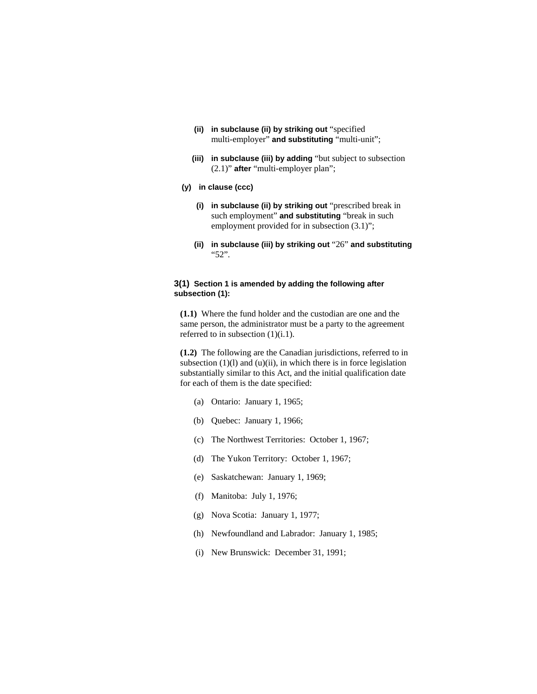- **(ii) in subclause (ii) by striking out** "specified multi-employer" **and substituting** "multi-unit";
- **(iii) in subclause (iii) by adding** "but subject to subsection (2.1)" **after** "multi-employer plan";

#### **(y) in clause (ccc)**

- **(i) in subclause (ii) by striking out** "prescribed break in such employment" **and substituting** "break in such employment provided for in subsection (3.1)";
- **(ii) in subclause (iii) by striking out** "26" **and substituting**  "52".

## **3(1) Section 1 is amended by adding the following after subsection (1):**

**(1.1)** Where the fund holder and the custodian are one and the same person, the administrator must be a party to the agreement referred to in subsection  $(1)(i.1)$ .

**(1.2)** The following are the Canadian jurisdictions, referred to in subsection  $(1)(l)$  and  $(u)(ii)$ , in which there is in force legislation substantially similar to this Act, and the initial qualification date for each of them is the date specified:

- (a) Ontario: January 1, 1965;
- (b) Quebec: January 1, 1966;
- (c) The Northwest Territories: October 1, 1967;
- (d) The Yukon Territory: October 1, 1967;
- (e) Saskatchewan: January 1, 1969;
- (f) Manitoba: July 1, 1976;
- (g) Nova Scotia: January 1, 1977;
- (h) Newfoundland and Labrador: January 1, 1985;
- (i) New Brunswick: December 31, 1991;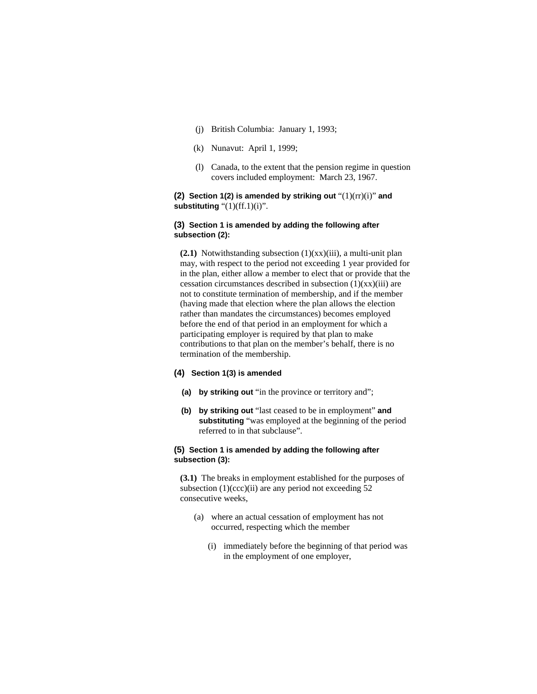- (j) British Columbia: January 1, 1993;
- (k) Nunavut: April 1, 1999;
- (l) Canada, to the extent that the pension regime in question covers included employment: March 23, 1967.

## **(2) Section 1(2) is amended by striking out** "(1)(rr)(i)" **and substituting** "(1)(ff.1)(i)".

#### **(3) Section 1 is amended by adding the following after subsection (2):**

**(2.1)** Notwithstanding subsection (1)(xx)(iii), a multi-unit plan may, with respect to the period not exceeding 1 year provided for in the plan, either allow a member to elect that or provide that the cessation circumstances described in subsection (1)(xx)(iii) are not to constitute termination of membership, and if the member (having made that election where the plan allows the election rather than mandates the circumstances) becomes employed before the end of that period in an employment for which a participating employer is required by that plan to make contributions to that plan on the member's behalf, there is no termination of the membership.

# **(4) Section 1(3) is amended**

- **(a) by striking out** "in the province or territory and";
- **(b) by striking out** "last ceased to be in employment" **and substituting** "was employed at the beginning of the period referred to in that subclause".

#### **(5) Section 1 is amended by adding the following after subsection (3):**

**(3.1)** The breaks in employment established for the purposes of subsection  $(1)(\c{ccc})$  (ii) are any period not exceeding 52 consecutive weeks,

- (a) where an actual cessation of employment has not occurred, respecting which the member
	- (i) immediately before the beginning of that period was in the employment of one employer,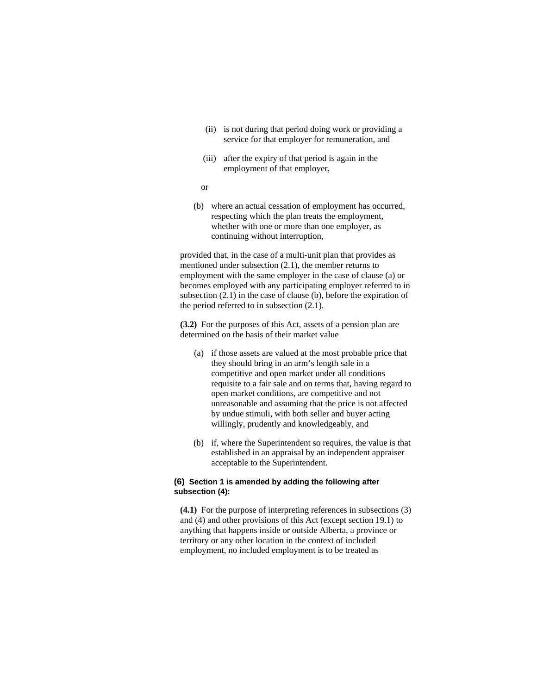- (ii) is not during that period doing work or providing a service for that employer for remuneration, and
- (iii) after the expiry of that period is again in the employment of that employer,
- or
- (b) where an actual cessation of employment has occurred, respecting which the plan treats the employment, whether with one or more than one employer, as continuing without interruption,

provided that, in the case of a multi-unit plan that provides as mentioned under subsection (2.1), the member returns to employment with the same employer in the case of clause (a) or becomes employed with any participating employer referred to in subsection (2.1) in the case of clause (b), before the expiration of the period referred to in subsection (2.1).

**(3.2)** For the purposes of this Act, assets of a pension plan are determined on the basis of their market value

- (a) if those assets are valued at the most probable price that they should bring in an arm's length sale in a competitive and open market under all conditions requisite to a fair sale and on terms that, having regard to open market conditions, are competitive and not unreasonable and assuming that the price is not affected by undue stimuli, with both seller and buyer acting willingly, prudently and knowledgeably, and
- (b) if, where the Superintendent so requires, the value is that established in an appraisal by an independent appraiser acceptable to the Superintendent.

## **(6) Section 1 is amended by adding the following after subsection (4):**

**(4.1)** For the purpose of interpreting references in subsections (3) and (4) and other provisions of this Act (except section 19.1) to anything that happens inside or outside Alberta, a province or territory or any other location in the context of included employment, no included employment is to be treated as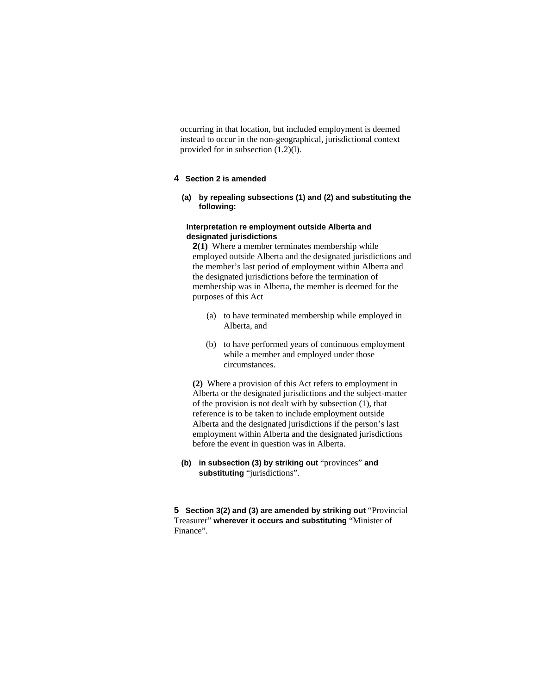occurring in that location, but included employment is deemed instead to occur in the non-geographical, jurisdictional context provided for in subsection (1.2)(l).

## **4 Section 2 is amended**

## **(a) by repealing subsections (1) and (2) and substituting the following:**

#### **Interpretation re employment outside Alberta and designated jurisdictions**

**2(1)** Where a member terminates membership while employed outside Alberta and the designated jurisdictions and the member's last period of employment within Alberta and the designated jurisdictions before the termination of membership was in Alberta, the member is deemed for the purposes of this Act

- (a) to have terminated membership while employed in Alberta, and
- (b) to have performed years of continuous employment while a member and employed under those circumstances.

**(2)** Where a provision of this Act refers to employment in Alberta or the designated jurisdictions and the subject-matter of the provision is not dealt with by subsection (1), that reference is to be taken to include employment outside Alberta and the designated jurisdictions if the person's last employment within Alberta and the designated jurisdictions before the event in question was in Alberta.

**(b) in subsection (3) by striking out** "provinces" **and substituting** "jurisdictions".

**5 Section 3(2) and (3) are amended by striking out** "Provincial Treasurer" **wherever it occurs and substituting** "Minister of Finance".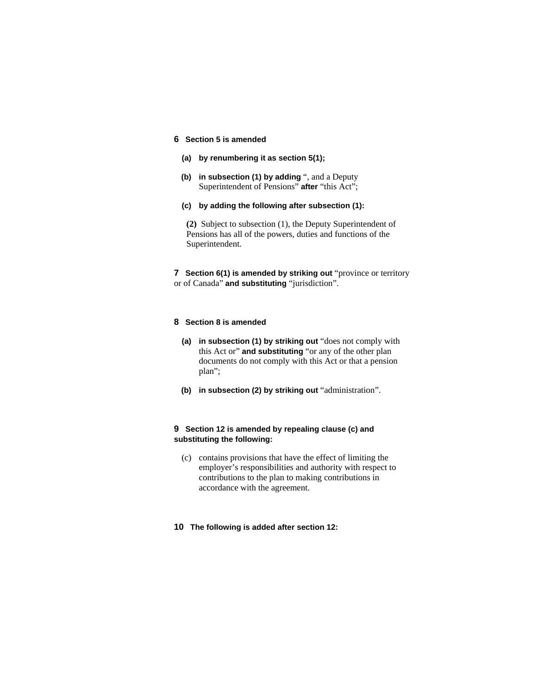# **6 Section 5 is amended**

- **(a) by renumbering it as section 5(1);**
- **(b) in subsection (1) by adding** ", and a Deputy Superintendent of Pensions" **after** "this Act";
- **(c) by adding the following after subsection (1):**

**(2)** Subject to subsection (1), the Deputy Superintendent of Pensions has all of the powers, duties and functions of the Superintendent.

**7** Section 6(1) is amended by striking out "province or territory or of Canada" **and substituting** "jurisdiction".

# **8 Section 8 is amended**

- **(a) in subsection (1) by striking out** "does not comply with this Act or" **and substituting** "or any of the other plan documents do not comply with this Act or that a pension plan";
- **(b) in subsection (2) by striking out** "administration".

# **9 Section 12 is amended by repealing clause (c) and substituting the following:**

- (c) contains provisions that have the effect of limiting the employer's responsibilities and authority with respect to contributions to the plan to making contributions in accordance with the agreement.
- **10 The following is added after section 12:**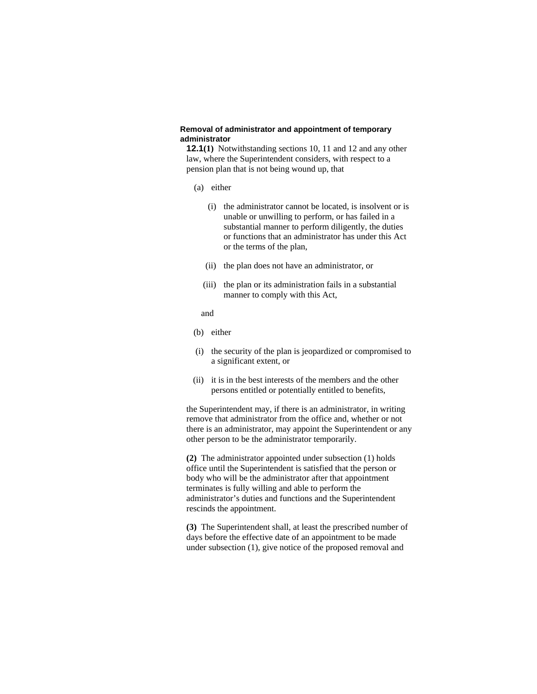## **Removal of administrator and appointment of temporary administrator**

**12.1(1)** Notwithstanding sections 10, 11 and 12 and any other law, where the Superintendent considers, with respect to a pension plan that is not being wound up, that

## (a) either

- (i) the administrator cannot be located, is insolvent or is unable or unwilling to perform, or has failed in a substantial manner to perform diligently, the duties or functions that an administrator has under this Act or the terms of the plan,
- (ii) the plan does not have an administrator, or
- (iii) the plan or its administration fails in a substantial manner to comply with this Act,

and

- (b) either
- (i) the security of the plan is jeopardized or compromised to a significant extent, or
- (ii) it is in the best interests of the members and the other persons entitled or potentially entitled to benefits,

the Superintendent may, if there is an administrator, in writing remove that administrator from the office and, whether or not there is an administrator, may appoint the Superintendent or any other person to be the administrator temporarily.

**(2)** The administrator appointed under subsection (1) holds office until the Superintendent is satisfied that the person or body who will be the administrator after that appointment terminates is fully willing and able to perform the administrator's duties and functions and the Superintendent rescinds the appointment.

**(3)** The Superintendent shall, at least the prescribed number of days before the effective date of an appointment to be made under subsection (1), give notice of the proposed removal and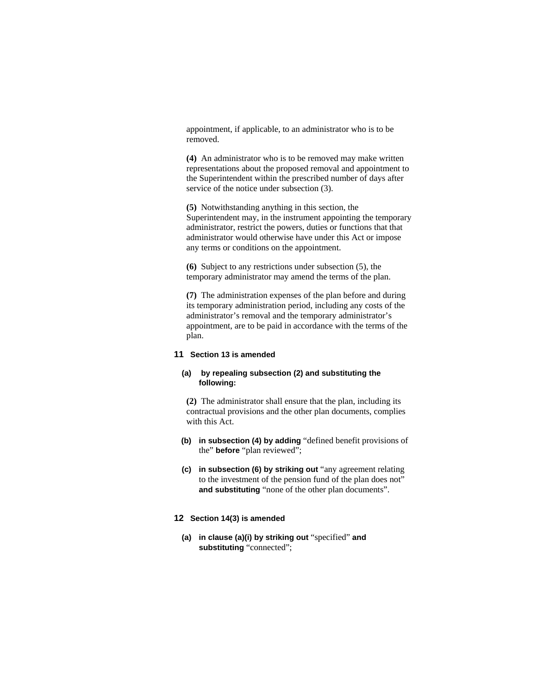appointment, if applicable, to an administrator who is to be removed.

**(4)** An administrator who is to be removed may make written representations about the proposed removal and appointment to the Superintendent within the prescribed number of days after service of the notice under subsection  $(3)$ .

**(5)** Notwithstanding anything in this section, the Superintendent may, in the instrument appointing the temporary administrator, restrict the powers, duties or functions that that administrator would otherwise have under this Act or impose any terms or conditions on the appointment.

**(6)** Subject to any restrictions under subsection (5), the temporary administrator may amend the terms of the plan.

**(7)** The administration expenses of the plan before and during its temporary administration period, including any costs of the administrator's removal and the temporary administrator's appointment, are to be paid in accordance with the terms of the plan.

## **11 Section 13 is amended**

## **(a) by repealing subsection (2) and substituting the following:**

**(2)** The administrator shall ensure that the plan, including its contractual provisions and the other plan documents, complies with this Act.

- **(b) in subsection (4) by adding** "defined benefit provisions of the" **before** "plan reviewed";
- **(c) in subsection (6) by striking out** "any agreement relating to the investment of the pension fund of the plan does not" **and substituting** "none of the other plan documents".

#### **12 Section 14(3) is amended**

**(a) in clause (a)(i) by striking out** "specified" **and substituting** "connected";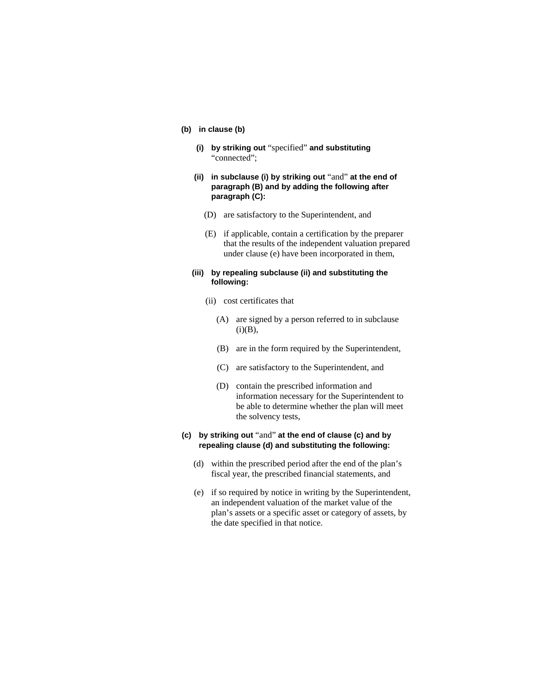# **(b) in clause (b)**

- **(i) by striking out** "specified" **and substituting**  "connected";
- **(ii) in subclause (i) by striking out** "and" **at the end of paragraph (B) and by adding the following after paragraph (C):**
	- (D) are satisfactory to the Superintendent, and
	- (E) if applicable, contain a certification by the preparer that the results of the independent valuation prepared under clause (e) have been incorporated in them,

## **(iii) by repealing subclause (ii) and substituting the following:**

- (ii) cost certificates that
	- (A) are signed by a person referred to in subclause  $(i)(B)$ ,
	- (B) are in the form required by the Superintendent,
	- (C) are satisfactory to the Superintendent, and
	- (D) contain the prescribed information and information necessary for the Superintendent to be able to determine whether the plan will meet the solvency tests,
- **(c) by striking out** "and" **at the end of clause (c) and by repealing clause (d) and substituting the following:**
	- (d) within the prescribed period after the end of the plan's fiscal year, the prescribed financial statements, and
	- (e) if so required by notice in writing by the Superintendent, an independent valuation of the market value of the plan's assets or a specific asset or category of assets, by the date specified in that notice.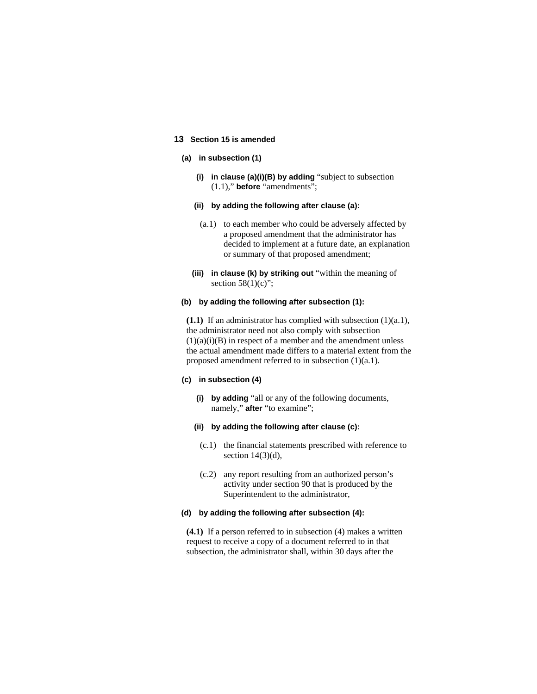## **13 Section 15 is amended**

## **(a) in subsection (1)**

**(i) in clause (a)(i)(B) by adding** "subject to subsection (1.1)," **before** "amendments";

#### **(ii) by adding the following after clause (a):**

- (a.1) to each member who could be adversely affected by a proposed amendment that the administrator has decided to implement at a future date, an explanation or summary of that proposed amendment;
- **(iii) in clause (k) by striking out** "within the meaning of section  $58(1)(c)$ ";

#### **(b) by adding the following after subsection (1):**

**(1.1)** If an administrator has complied with subsection (1)(a.1), the administrator need not also comply with subsection  $(1)(a)(i)(B)$  in respect of a member and the amendment unless the actual amendment made differs to a material extent from the proposed amendment referred to in subsection (1)(a.1).

#### **(c) in subsection (4)**

**(i) by adding** "all or any of the following documents, namely," **after** "to examine";

#### **(ii) by adding the following after clause (c):**

- (c.1) the financial statements prescribed with reference to section  $14(3)(d)$ ,
- (c.2) any report resulting from an authorized person's activity under section 90 that is produced by the Superintendent to the administrator,

#### **(d) by adding the following after subsection (4):**

**(4.1)** If a person referred to in subsection (4) makes a written request to receive a copy of a document referred to in that subsection, the administrator shall, within 30 days after the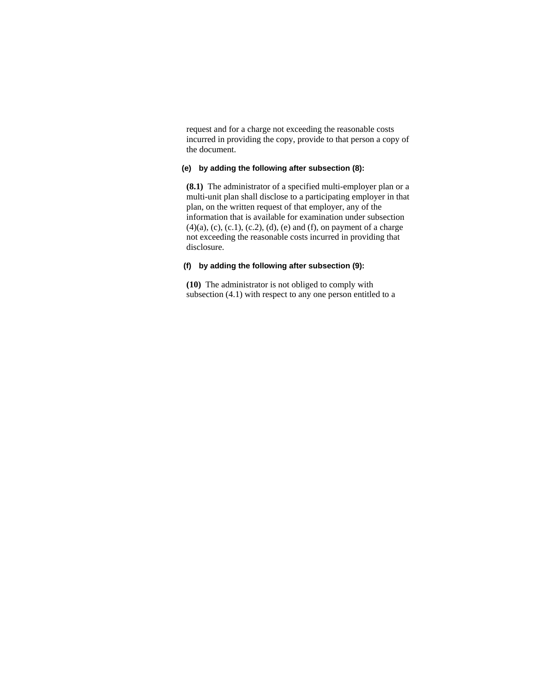request and for a charge not exceeding the reasonable costs incurred in providing the copy, provide to that person a copy of the document.

## **(e) by adding the following after subsection (8):**

**(8.1)** The administrator of a specified multi-employer plan or a multi-unit plan shall disclose to a participating employer in that plan, on the written request of that employer, any of the information that is available for examination under subsection  $(4)(a)$ ,  $(c)$ ,  $(c.1)$ ,  $(c.2)$ ,  $(d)$ ,  $(e)$  and  $(f)$ , on payment of a charge not exceeding the reasonable costs incurred in providing that disclosure.

## **(f) by adding the following after subsection (9):**

**(10)** The administrator is not obliged to comply with subsection (4.1) with respect to any one person entitled to a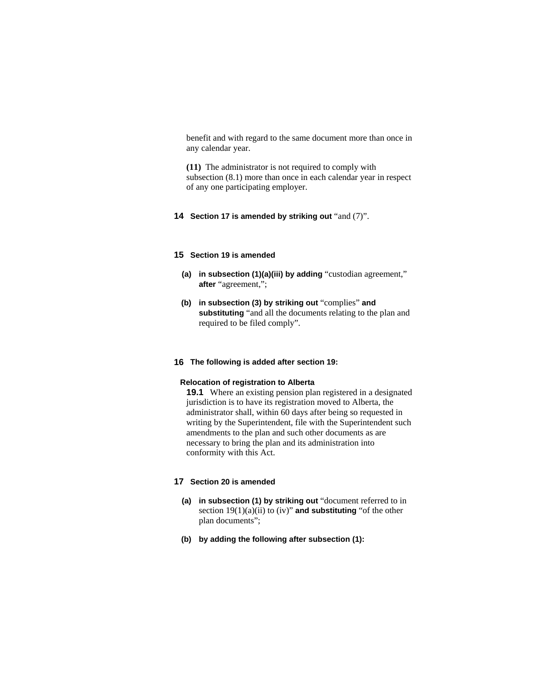benefit and with regard to the same document more than once in any calendar year.

**(11)** The administrator is not required to comply with subsection (8.1) more than once in each calendar year in respect of any one participating employer.

**14 Section 17 is amended by striking out** "and (7)".

## **15 Section 19 is amended**

- **(a) in subsection (1)(a)(iii) by adding** "custodian agreement," **after** "agreement,";
- **(b) in subsection (3) by striking out** "complies" **and substituting** "and all the documents relating to the plan and required to be filed comply".

## **16 The following is added after section 19:**

#### **Relocation of registration to Alberta**

**19.1** Where an existing pension plan registered in a designated jurisdiction is to have its registration moved to Alberta, the administrator shall, within 60 days after being so requested in writing by the Superintendent, file with the Superintendent such amendments to the plan and such other documents as are necessary to bring the plan and its administration into conformity with this Act.

# **17 Section 20 is amended**

- **(a) in subsection (1) by striking out** "document referred to in section 19(1)(a)(ii) to (iv)" **and substituting** "of the other plan documents";
- **(b) by adding the following after subsection (1):**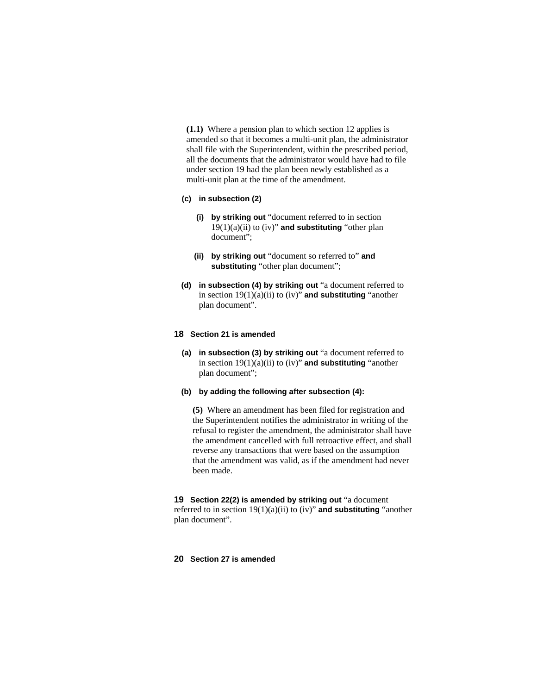**(1.1)** Where a pension plan to which section 12 applies is amended so that it becomes a multi-unit plan, the administrator shall file with the Superintendent, within the prescribed period, all the documents that the administrator would have had to file under section 19 had the plan been newly established as a multi-unit plan at the time of the amendment.

## **(c) in subsection (2)**

- **(i) by striking out** "document referred to in section 19(1)(a)(ii) to (iv)" **and substituting** "other plan document";
- **(ii) by striking out** "document so referred to" **and substituting** "other plan document";
- **(d) in subsection (4) by striking out** "a document referred to in section 19(1)(a)(ii) to (iv)" **and substituting** "another plan document".

## **18 Section 21 is amended**

- **(a) in subsection (3) by striking out** "a document referred to in section 19(1)(a)(ii) to (iv)" **and substituting** "another plan document";
- **(b) by adding the following after subsection (4):**

**(5)** Where an amendment has been filed for registration and the Superintendent notifies the administrator in writing of the refusal to register the amendment, the administrator shall have the amendment cancelled with full retroactive effect, and shall reverse any transactions that were based on the assumption that the amendment was valid, as if the amendment had never been made.

**19 Section 22(2) is amended by striking out** "a document referred to in section 19(1)(a)(ii) to (iv)" **and substituting** "another plan document".

# **20 Section 27 is amended**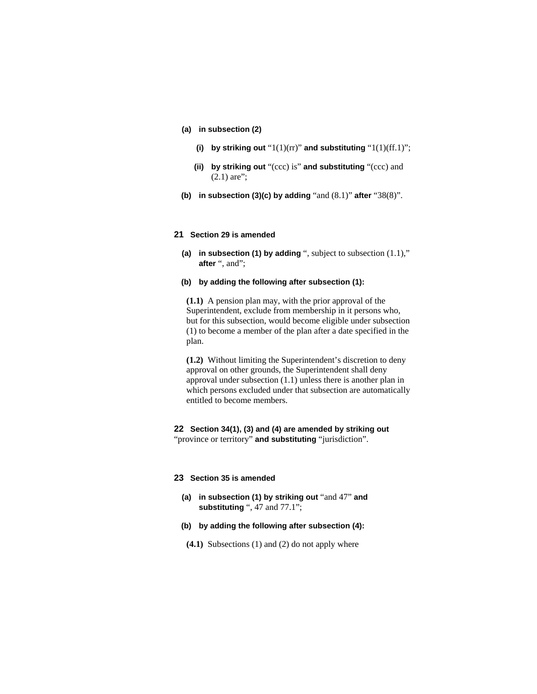- **(a) in subsection (2)**
	- **(i) by striking out** "1(1)(rr)" **and substituting** "1(1)(ff.1)";
	- **(ii) by striking out** "(ccc) is" **and substituting** "(ccc) and  $(2.1)$  are";
- **(b) in subsection (3)(c) by adding** "and (8.1)" **after** "38(8)".

#### **21 Section 29 is amended**

**(a) in subsection (1) by adding** ", subject to subsection (1.1)," **after** ", and";

#### **(b) by adding the following after subsection (1):**

**(1.1)** A pension plan may, with the prior approval of the Superintendent, exclude from membership in it persons who, but for this subsection, would become eligible under subsection (1) to become a member of the plan after a date specified in the plan.

**(1.2)** Without limiting the Superintendent's discretion to deny approval on other grounds, the Superintendent shall deny approval under subsection (1.1) unless there is another plan in which persons excluded under that subsection are automatically entitled to become members.

# **22 Section 34(1), (3) and (4) are amended by striking out**  "province or territory" **and substituting** "jurisdiction".

#### **23 Section 35 is amended**

- **(a) in subsection (1) by striking out** "and 47" **and substituting** ", 47 and 77.1";
- **(b) by adding the following after subsection (4):**
- **(4.1)** Subsections (1) and (2) do not apply where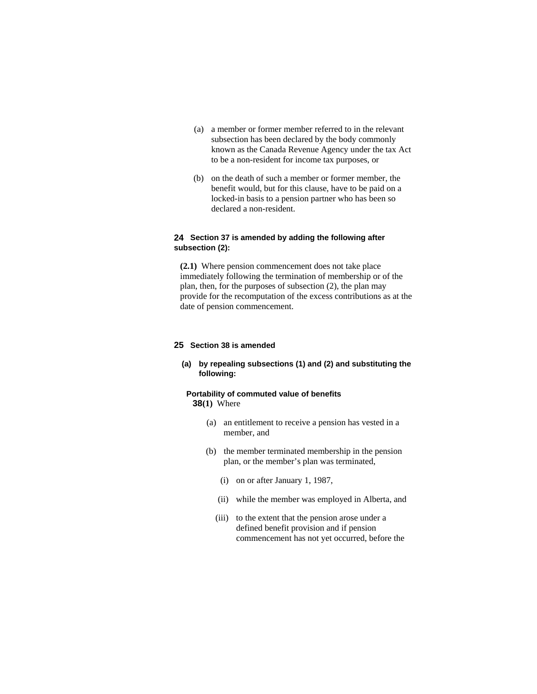- (a) a member or former member referred to in the relevant subsection has been declared by the body commonly known as the Canada Revenue Agency under the tax Act to be a non-resident for income tax purposes, or
- (b) on the death of such a member or former member, the benefit would, but for this clause, have to be paid on a locked-in basis to a pension partner who has been so declared a non-resident.

# **24 Section 37 is amended by adding the following after subsection (2):**

**(2.1)** Where pension commencement does not take place immediately following the termination of membership or of the plan, then, for the purposes of subsection (2), the plan may provide for the recomputation of the excess contributions as at the date of pension commencement.

#### **25 Section 38 is amended**

## **(a) by repealing subsections (1) and (2) and substituting the following:**

## **Portability of commuted value of benefits 38(1)** Where

- (a) an entitlement to receive a pension has vested in a member, and
- (b) the member terminated membership in the pension plan, or the member's plan was terminated,
	- (i) on or after January 1, 1987,
	- (ii) while the member was employed in Alberta, and
	- (iii) to the extent that the pension arose under a defined benefit provision and if pension commencement has not yet occurred, before the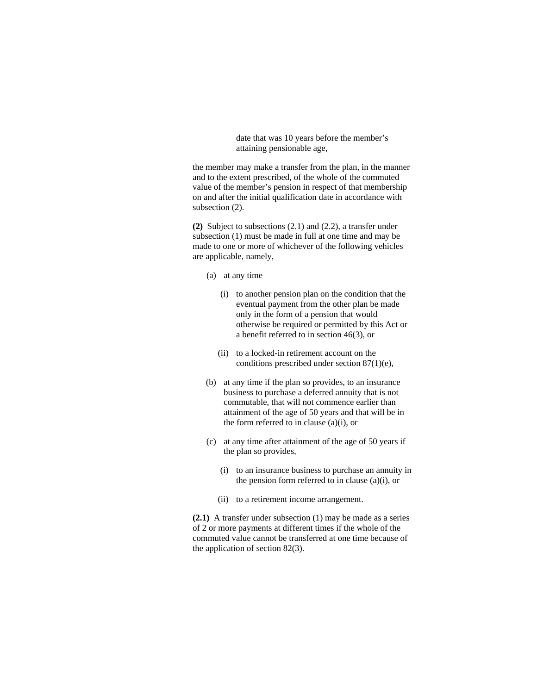date that was 10 years before the member's attaining pensionable age,

the member may make a transfer from the plan, in the manner and to the extent prescribed, of the whole of the commuted value of the member's pension in respect of that membership on and after the initial qualification date in accordance with subsection  $(2)$ .

**(2)** Subject to subsections (2.1) and (2.2), a transfer under subsection (1) must be made in full at one time and may be made to one or more of whichever of the following vehicles are applicable, namely,

- (a) at any time
	- (i) to another pension plan on the condition that the eventual payment from the other plan be made only in the form of a pension that would otherwise be required or permitted by this Act or a benefit referred to in section 46(3), or
	- (ii) to a locked-in retirement account on the conditions prescribed under section 87(1)(e),
- (b) at any time if the plan so provides, to an insurance business to purchase a deferred annuity that is not commutable, that will not commence earlier than attainment of the age of 50 years and that will be in the form referred to in clause (a)(i), or
- (c) at any time after attainment of the age of 50 years if the plan so provides,
	- (i) to an insurance business to purchase an annuity in the pension form referred to in clause (a)(i), or
	- (ii) to a retirement income arrangement.

**(2.1)** A transfer under subsection (1) may be made as a series of 2 or more payments at different times if the whole of the commuted value cannot be transferred at one time because of the application of section 82(3).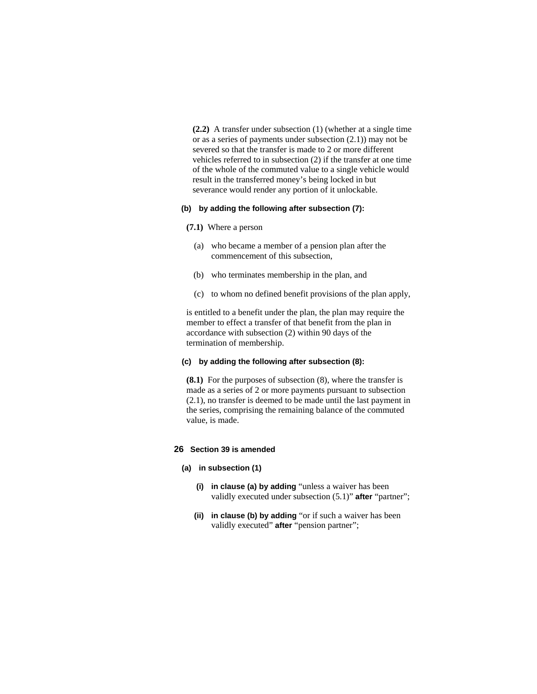**(2.2)** A transfer under subsection (1) (whether at a single time or as a series of payments under subsection (2.1)) may not be severed so that the transfer is made to 2 or more different vehicles referred to in subsection (2) if the transfer at one time of the whole of the commuted value to a single vehicle would result in the transferred money's being locked in but severance would render any portion of it unlockable.

## **(b) by adding the following after subsection (7):**

#### **(7.1)** Where a person

- (a) who became a member of a pension plan after the commencement of this subsection,
- (b) who terminates membership in the plan, and
- (c) to whom no defined benefit provisions of the plan apply,

is entitled to a benefit under the plan, the plan may require the member to effect a transfer of that benefit from the plan in accordance with subsection (2) within 90 days of the termination of membership.

## **(c) by adding the following after subsection (8):**

**(8.1)** For the purposes of subsection (8), where the transfer is made as a series of 2 or more payments pursuant to subsection (2.1), no transfer is deemed to be made until the last payment in the series, comprising the remaining balance of the commuted value, is made.

## **26 Section 39 is amended**

## **(a) in subsection (1)**

- **(i) in clause (a) by adding** "unless a waiver has been validly executed under subsection (5.1)" **after** "partner";
- **(ii) in clause (b) by adding** "or if such a waiver has been validly executed" **after** "pension partner";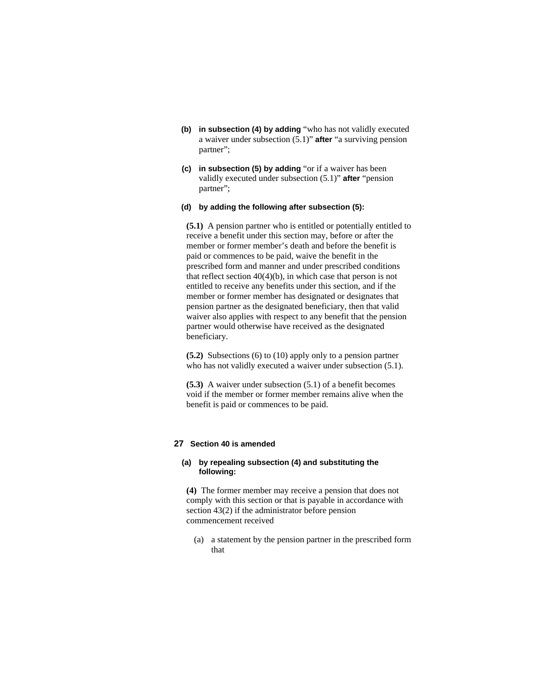- **(b) in subsection (4) by adding** "who has not validly executed a waiver under subsection (5.1)" **after** "a surviving pension partner";
- **(c) in subsection (5) by adding** "or if a waiver has been validly executed under subsection (5.1)" **after** "pension partner";
- **(d) by adding the following after subsection (5):**

**(5.1)** A pension partner who is entitled or potentially entitled to receive a benefit under this section may, before or after the member or former member's death and before the benefit is paid or commences to be paid, waive the benefit in the prescribed form and manner and under prescribed conditions that reflect section  $40(4)(b)$ , in which case that person is not entitled to receive any benefits under this section, and if the member or former member has designated or designates that pension partner as the designated beneficiary, then that valid waiver also applies with respect to any benefit that the pension partner would otherwise have received as the designated beneficiary.

**(5.2)** Subsections (6) to (10) apply only to a pension partner who has not validly executed a waiver under subsection (5.1).

**(5.3)** A waiver under subsection (5.1) of a benefit becomes void if the member or former member remains alive when the benefit is paid or commences to be paid.

# **27 Section 40 is amended**

#### **(a) by repealing subsection (4) and substituting the following:**

**(4)** The former member may receive a pension that does not comply with this section or that is payable in accordance with section 43(2) if the administrator before pension commencement received

 (a) a statement by the pension partner in the prescribed form that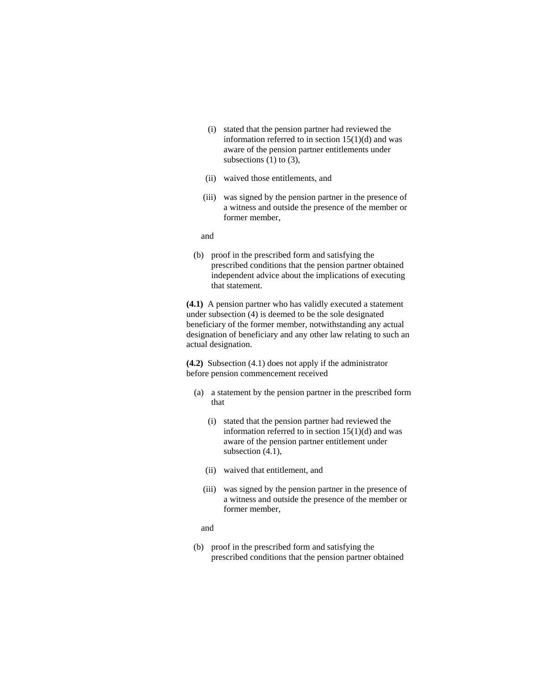- (i) stated that the pension partner had reviewed the information referred to in section 15(1)(d) and was aware of the pension partner entitlements under subsections  $(1)$  to  $(3)$ ,
- (ii) waived those entitlements, and
- (iii) was signed by the pension partner in the presence of a witness and outside the presence of the member or former member,

and

 (b) proof in the prescribed form and satisfying the prescribed conditions that the pension partner obtained independent advice about the implications of executing that statement.

**(4.1)** A pension partner who has validly executed a statement under subsection (4) is deemed to be the sole designated beneficiary of the former member, notwithstanding any actual designation of beneficiary and any other law relating to such an actual designation.

**(4.2)** Subsection (4.1) does not apply if the administrator before pension commencement received

- (a) a statement by the pension partner in the prescribed form that
	- (i) stated that the pension partner had reviewed the information referred to in section  $15(1)(d)$  and was aware of the pension partner entitlement under subsection  $(4.1)$ ,
	- (ii) waived that entitlement, and
	- (iii) was signed by the pension partner in the presence of a witness and outside the presence of the member or former member,
	- and
- (b) proof in the prescribed form and satisfying the prescribed conditions that the pension partner obtained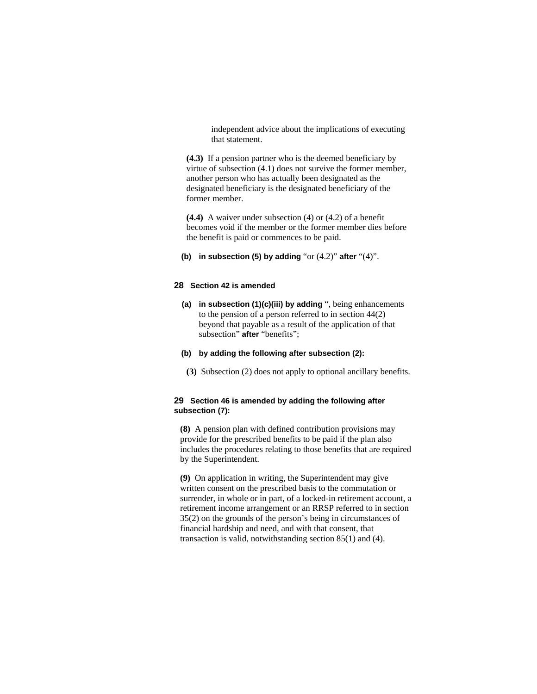independent advice about the implications of executing that statement.

**(4.3)** If a pension partner who is the deemed beneficiary by virtue of subsection (4.1) does not survive the former member, another person who has actually been designated as the designated beneficiary is the designated beneficiary of the former member.

**(4.4)** A waiver under subsection (4) or (4.2) of a benefit becomes void if the member or the former member dies before the benefit is paid or commences to be paid.

**(b) in subsection (5) by adding** "or (4.2)" **after** "(4)".

## **28 Section 42 is amended**

- **(a) in subsection (1)(c)(iii) by adding** ", being enhancements to the pension of a person referred to in section 44(2) beyond that payable as a result of the application of that subsection" **after** "benefits";
- **(b) by adding the following after subsection (2):**
- **(3)** Subsection (2) does not apply to optional ancillary benefits.

# **29 Section 46 is amended by adding the following after subsection (7):**

**(8)** A pension plan with defined contribution provisions may provide for the prescribed benefits to be paid if the plan also includes the procedures relating to those benefits that are required by the Superintendent.

**(9)** On application in writing, the Superintendent may give written consent on the prescribed basis to the commutation or surrender, in whole or in part, of a locked-in retirement account, a retirement income arrangement or an RRSP referred to in section 35(2) on the grounds of the person's being in circumstances of financial hardship and need, and with that consent, that transaction is valid, notwithstanding section 85(1) and (4).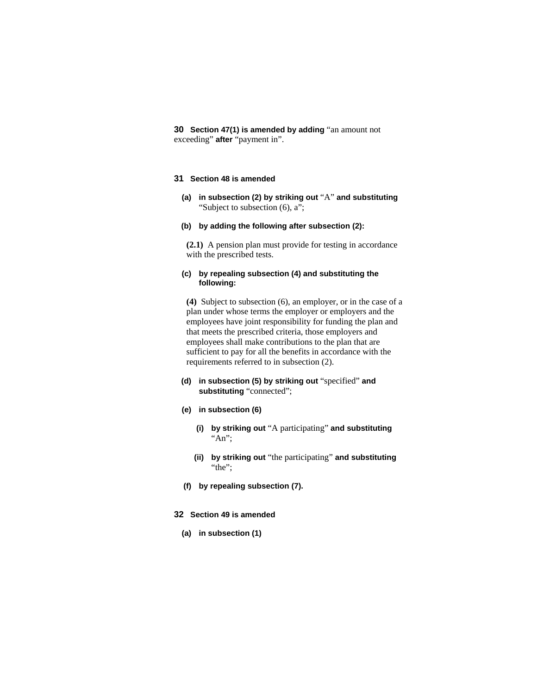**30 Section 47(1) is amended by adding** "an amount not exceeding" **after** "payment in".

## **31 Section 48 is amended**

- **(a) in subsection (2) by striking out** "A" **and substituting**  "Subject to subsection (6), a";
- **(b) by adding the following after subsection (2):**

**(2.1)** A pension plan must provide for testing in accordance with the prescribed tests.

#### **(c) by repealing subsection (4) and substituting the following:**

**(4)** Subject to subsection (6), an employer, or in the case of a plan under whose terms the employer or employers and the employees have joint responsibility for funding the plan and that meets the prescribed criteria, those employers and employees shall make contributions to the plan that are sufficient to pay for all the benefits in accordance with the requirements referred to in subsection (2).

- **(d) in subsection (5) by striking out** "specified" **and substituting** "connected";
- **(e) in subsection (6)**
	- **(i) by striking out** "A participating" **and substituting**  "An";
	- **(ii) by striking out** "the participating" **and substituting**  "the";
- **(f) by repealing subsection (7).**
- **32 Section 49 is amended** 
	- **(a) in subsection (1)**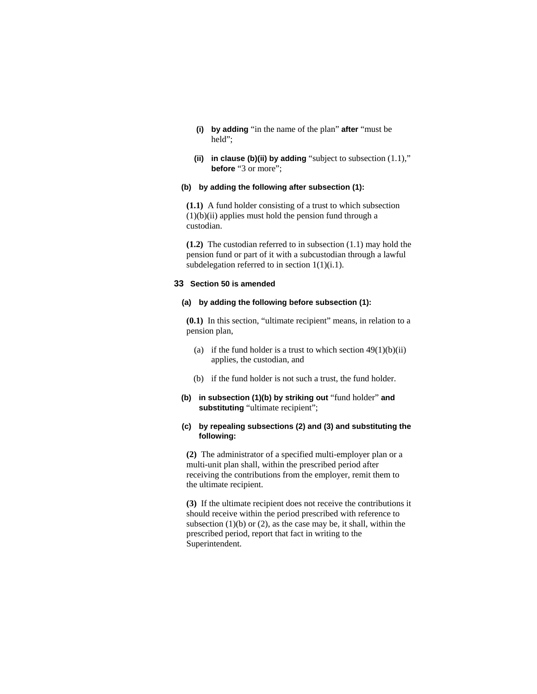- **(i) by adding** "in the name of the plan" **after** "must be held";
- **(ii) in clause (b)(ii) by adding** "subject to subsection (1.1)," **before** "3 or more";

# **(b) by adding the following after subsection (1):**

**(1.1)** A fund holder consisting of a trust to which subsection (1)(b)(ii) applies must hold the pension fund through a custodian.

**(1.2)** The custodian referred to in subsection (1.1) may hold the pension fund or part of it with a subcustodian through a lawful subdelegation referred to in section 1(1)(i.1).

## **33 Section 50 is amended**

#### **(a) by adding the following before subsection (1):**

**(0.1)** In this section, "ultimate recipient" means, in relation to a pension plan,

- (a) if the fund holder is a trust to which section  $49(1)(b)(ii)$ applies, the custodian, and
- (b) if the fund holder is not such a trust, the fund holder.
- **(b) in subsection (1)(b) by striking out** "fund holder" **and substituting** "ultimate recipient";

## **(c) by repealing subsections (2) and (3) and substituting the following:**

**(2)** The administrator of a specified multi-employer plan or a multi-unit plan shall, within the prescribed period after receiving the contributions from the employer, remit them to the ultimate recipient.

**(3)** If the ultimate recipient does not receive the contributions it should receive within the period prescribed with reference to subsection  $(1)(b)$  or  $(2)$ , as the case may be, it shall, within the prescribed period, report that fact in writing to the Superintendent.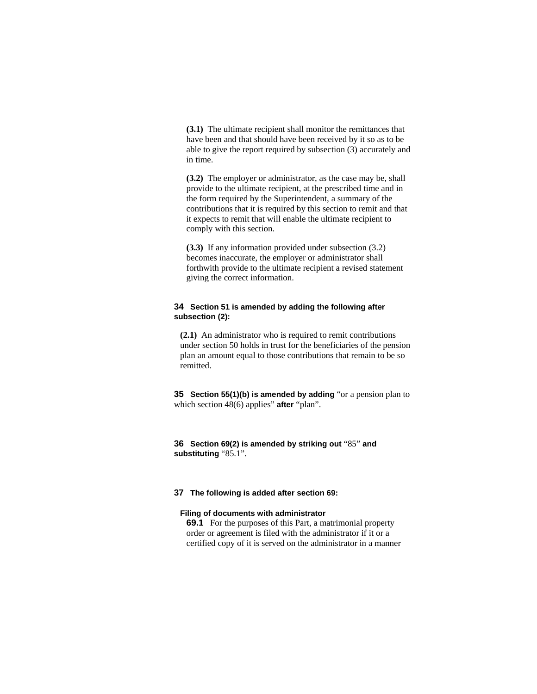**(3.1)** The ultimate recipient shall monitor the remittances that have been and that should have been received by it so as to be able to give the report required by subsection (3) accurately and in time.

**(3.2)** The employer or administrator, as the case may be, shall provide to the ultimate recipient, at the prescribed time and in the form required by the Superintendent, a summary of the contributions that it is required by this section to remit and that it expects to remit that will enable the ultimate recipient to comply with this section.

**(3.3)** If any information provided under subsection (3.2) becomes inaccurate, the employer or administrator shall forthwith provide to the ultimate recipient a revised statement giving the correct information.

## **34 Section 51 is amended by adding the following after subsection (2):**

**(2.1)** An administrator who is required to remit contributions under section 50 holds in trust for the beneficiaries of the pension plan an amount equal to those contributions that remain to be so remitted.

**35 Section 55(1)(b) is amended by adding** "or a pension plan to which section 48(6) applies" **after** "plan".

**36 Section 69(2) is amended by striking out** "85" **and substituting** "85.1".

#### **37 The following is added after section 69:**

#### **Filing of documents with administrator**

**69.1** For the purposes of this Part, a matrimonial property order or agreement is filed with the administrator if it or a certified copy of it is served on the administrator in a manner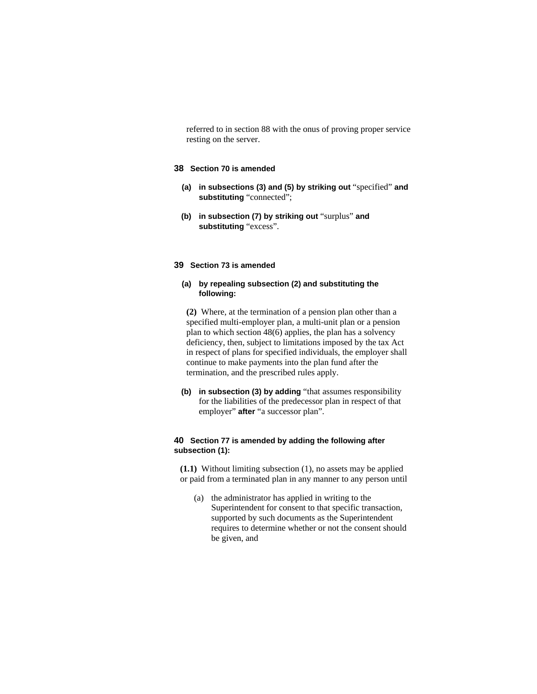referred to in section 88 with the onus of proving proper service resting on the server.

## **38 Section 70 is amended**

- **(a) in subsections (3) and (5) by striking out** "specified" **and substituting** "connected";
- **(b) in subsection (7) by striking out** "surplus" **and substituting** "excess".

# **39 Section 73 is amended**

#### **(a) by repealing subsection (2) and substituting the following:**

**(2)** Where, at the termination of a pension plan other than a specified multi-employer plan, a multi-unit plan or a pension plan to which section 48(6) applies, the plan has a solvency deficiency, then, subject to limitations imposed by the tax Act in respect of plans for specified individuals, the employer shall continue to make payments into the plan fund after the termination, and the prescribed rules apply.

**(b) in subsection (3) by adding** "that assumes responsibility for the liabilities of the predecessor plan in respect of that employer" **after** "a successor plan".

## **40 Section 77 is amended by adding the following after subsection (1):**

**(1.1)** Without limiting subsection (1), no assets may be applied or paid from a terminated plan in any manner to any person until

 (a) the administrator has applied in writing to the Superintendent for consent to that specific transaction, supported by such documents as the Superintendent requires to determine whether or not the consent should be given, and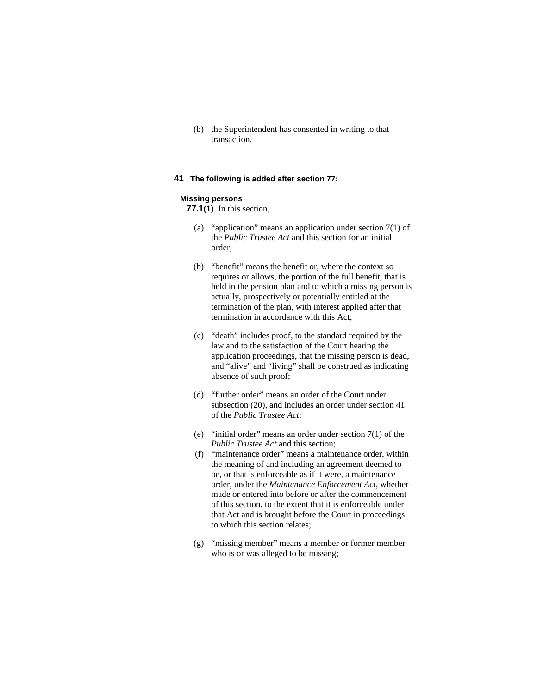(b) the Superintendent has consented in writing to that transaction.

## **41 The following is added after section 77:**

#### **Missing persons**

**77.1(1)** In this section,

- (a) "application" means an application under section 7(1) of the *Public Trustee Act* and this section for an initial order;
- (b) "benefit" means the benefit or, where the context so requires or allows, the portion of the full benefit, that is held in the pension plan and to which a missing person is actually, prospectively or potentially entitled at the termination of the plan, with interest applied after that termination in accordance with this Act;
- (c) "death" includes proof, to the standard required by the law and to the satisfaction of the Court hearing the application proceedings, that the missing person is dead, and "alive" and "living" shall be construed as indicating absence of such proof;
- (d) "further order" means an order of the Court under subsection (20), and includes an order under section 41 of the *Public Trustee Act*;
- (e) "initial order" means an order under section 7(1) of the *Public Trustee Act* and this section;
- (f) "maintenance order" means a maintenance order, within the meaning of and including an agreement deemed to be, or that is enforceable as if it were, a maintenance order, under the *Maintenance Enforcement Act*, whether made or entered into before or after the commencement of this section, to the extent that it is enforceable under that Act and is brought before the Court in proceedings to which this section relates;
- (g) "missing member" means a member or former member who is or was alleged to be missing;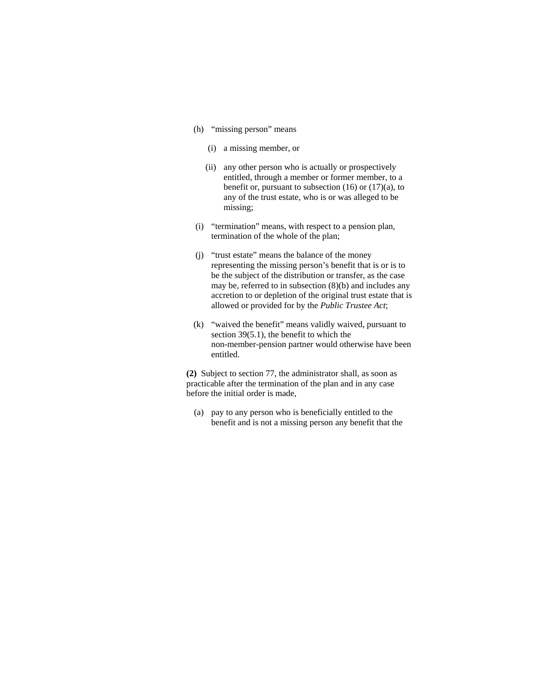- (h) "missing person" means
	- (i) a missing member, or
	- (ii) any other person who is actually or prospectively entitled, through a member or former member, to a benefit or, pursuant to subsection  $(16)$  or  $(17)(a)$ , to any of the trust estate, who is or was alleged to be missing;
- (i) "termination" means, with respect to a pension plan, termination of the whole of the plan;
- (j) "trust estate" means the balance of the money representing the missing person's benefit that is or is to be the subject of the distribution or transfer, as the case may be, referred to in subsection (8)(b) and includes any accretion to or depletion of the original trust estate that is allowed or provided for by the *Public Trustee Act*;
- (k) "waived the benefit" means validly waived, pursuant to section 39(5.1), the benefit to which the non-member-pension partner would otherwise have been entitled.

**(2)** Subject to section 77, the administrator shall, as soon as practicable after the termination of the plan and in any case before the initial order is made,

 (a) pay to any person who is beneficially entitled to the benefit and is not a missing person any benefit that the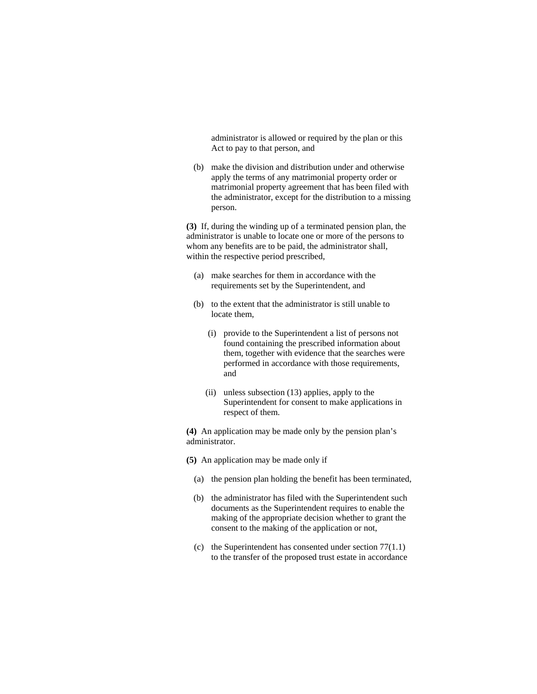administrator is allowed or required by the plan or this Act to pay to that person, and

 (b) make the division and distribution under and otherwise apply the terms of any matrimonial property order or matrimonial property agreement that has been filed with the administrator, except for the distribution to a missing person.

**(3)** If, during the winding up of a terminated pension plan, the administrator is unable to locate one or more of the persons to whom any benefits are to be paid, the administrator shall, within the respective period prescribed,

- (a) make searches for them in accordance with the requirements set by the Superintendent, and
- (b) to the extent that the administrator is still unable to locate them,
	- (i) provide to the Superintendent a list of persons not found containing the prescribed information about them, together with evidence that the searches were performed in accordance with those requirements, and
	- (ii) unless subsection (13) applies, apply to the Superintendent for consent to make applications in respect of them.

**(4)** An application may be made only by the pension plan's administrator.

**(5)** An application may be made only if

- (a) the pension plan holding the benefit has been terminated,
- (b) the administrator has filed with the Superintendent such documents as the Superintendent requires to enable the making of the appropriate decision whether to grant the consent to the making of the application or not,
- (c) the Superintendent has consented under section 77(1.1) to the transfer of the proposed trust estate in accordance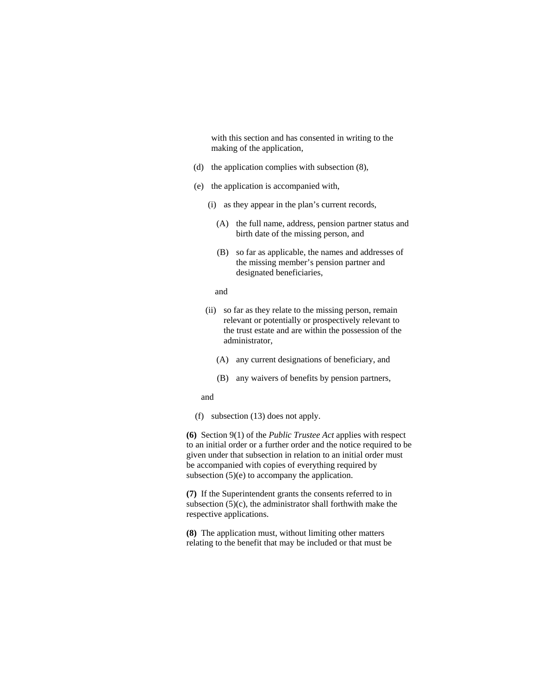with this section and has consented in writing to the making of the application,

- (d) the application complies with subsection (8),
- (e) the application is accompanied with,
	- (i) as they appear in the plan's current records,
		- (A) the full name, address, pension partner status and birth date of the missing person, and
		- (B) so far as applicable, the names and addresses of the missing member's pension partner and designated beneficiaries,

#### and

- (ii) so far as they relate to the missing person, remain relevant or potentially or prospectively relevant to the trust estate and are within the possession of the administrator,
	- (A) any current designations of beneficiary, and
	- (B) any waivers of benefits by pension partners,

#### and

(f) subsection (13) does not apply.

**(6)** Section 9(1) of the *Public Trustee Act* applies with respect to an initial order or a further order and the notice required to be given under that subsection in relation to an initial order must be accompanied with copies of everything required by subsection  $(5)(e)$  to accompany the application.

**(7)** If the Superintendent grants the consents referred to in subsection  $(5)(c)$ , the administrator shall forthwith make the respective applications.

**(8)** The application must, without limiting other matters relating to the benefit that may be included or that must be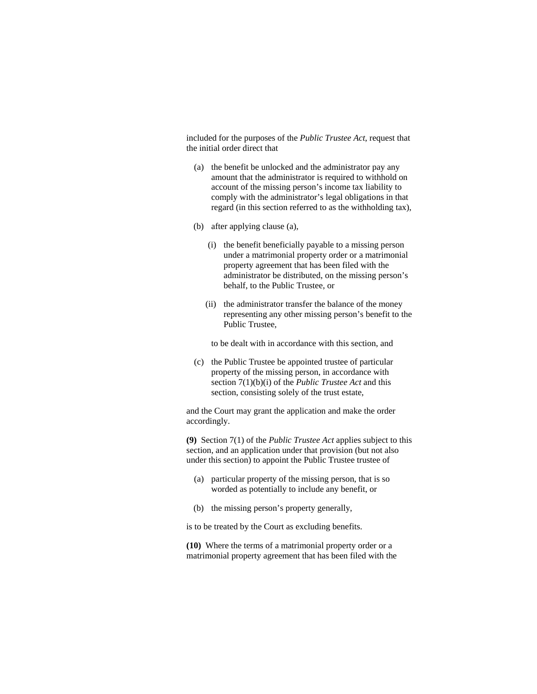included for the purposes of the *Public Trustee Act*, request that the initial order direct that

- (a) the benefit be unlocked and the administrator pay any amount that the administrator is required to withhold on account of the missing person's income tax liability to comply with the administrator's legal obligations in that regard (in this section referred to as the withholding tax),
- (b) after applying clause (a),
	- (i) the benefit beneficially payable to a missing person under a matrimonial property order or a matrimonial property agreement that has been filed with the administrator be distributed, on the missing person's behalf, to the Public Trustee, or
	- (ii) the administrator transfer the balance of the money representing any other missing person's benefit to the Public Trustee,

to be dealt with in accordance with this section, and

 (c) the Public Trustee be appointed trustee of particular property of the missing person, in accordance with section 7(1)(b)(i) of the *Public Trustee Act* and this section, consisting solely of the trust estate,

and the Court may grant the application and make the order accordingly.

**(9)** Section 7(1) of the *Public Trustee Act* applies subject to this section, and an application under that provision (but not also under this section) to appoint the Public Trustee trustee of

- (a) particular property of the missing person, that is so worded as potentially to include any benefit, or
- (b) the missing person's property generally,

is to be treated by the Court as excluding benefits.

**(10)** Where the terms of a matrimonial property order or a matrimonial property agreement that has been filed with the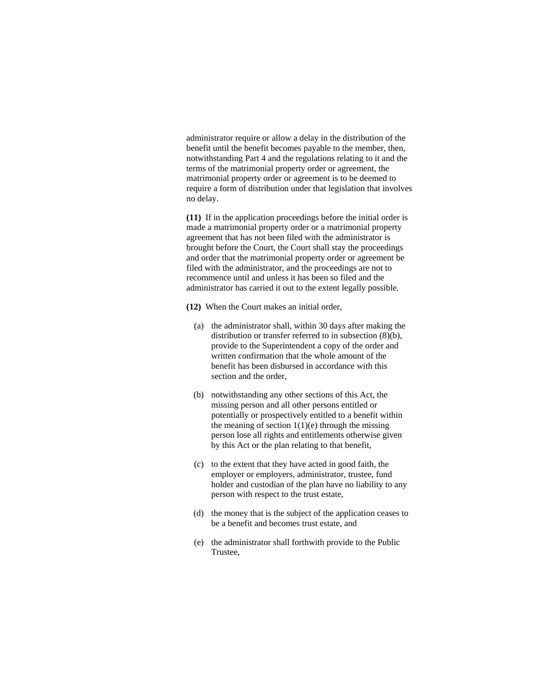administrator require or allow a delay in the distribution of the benefit until the benefit becomes payable to the member, then, notwithstanding Part 4 and the regulations relating to it and the terms of the matrimonial property order or agreement, the matrimonial property order or agreement is to be deemed to require a form of distribution under that legislation that involves no delay.

**(11)** If in the application proceedings before the initial order is made a matrimonial property order or a matrimonial property agreement that has not been filed with the administrator is brought before the Court, the Court shall stay the proceedings and order that the matrimonial property order or agreement be filed with the administrator, and the proceedings are not to recommence until and unless it has been so filed and the administrator has carried it out to the extent legally possible.

- **(12)** When the Court makes an initial order,
	- (a) the administrator shall, within 30 days after making the distribution or transfer referred to in subsection (8)(b), provide to the Superintendent a copy of the order and written confirmation that the whole amount of the benefit has been disbursed in accordance with this section and the order,
	- (b) notwithstanding any other sections of this Act, the missing person and all other persons entitled or potentially or prospectively entitled to a benefit within the meaning of section  $1(1)(e)$  through the missing person lose all rights and entitlements otherwise given by this Act or the plan relating to that benefit,
	- (c) to the extent that they have acted in good faith, the employer or employers, administrator, trustee, fund holder and custodian of the plan have no liability to any person with respect to the trust estate,
	- (d) the money that is the subject of the application ceases to be a benefit and becomes trust estate, and
	- (e) the administrator shall forthwith provide to the Public Trustee,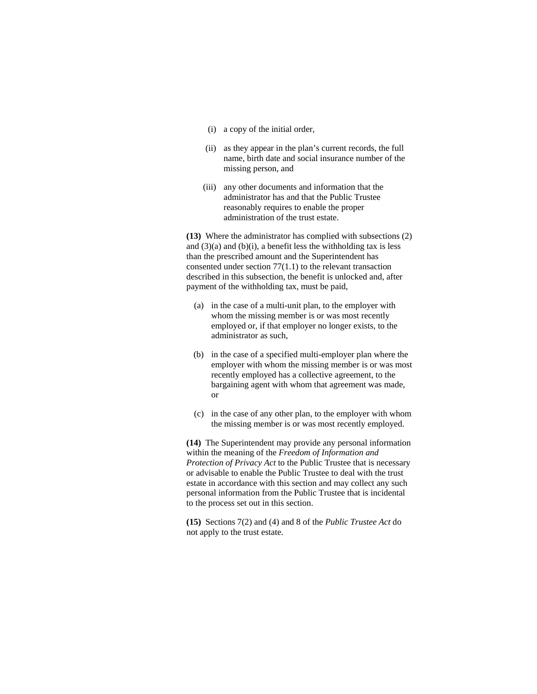- (i) a copy of the initial order,
- (ii) as they appear in the plan's current records, the full name, birth date and social insurance number of the missing person, and
- (iii) any other documents and information that the administrator has and that the Public Trustee reasonably requires to enable the proper administration of the trust estate.

**(13)** Where the administrator has complied with subsections (2) and  $(3)(a)$  and  $(b)(i)$ , a benefit less the withholding tax is less than the prescribed amount and the Superintendent has consented under section 77(1.1) to the relevant transaction described in this subsection, the benefit is unlocked and, after payment of the withholding tax, must be paid,

- (a) in the case of a multi-unit plan, to the employer with whom the missing member is or was most recently employed or, if that employer no longer exists, to the administrator as such,
- (b) in the case of a specified multi-employer plan where the employer with whom the missing member is or was most recently employed has a collective agreement, to the bargaining agent with whom that agreement was made, or
- (c) in the case of any other plan, to the employer with whom the missing member is or was most recently employed.

**(14)** The Superintendent may provide any personal information within the meaning of the *Freedom of Information and Protection of Privacy Act* to the Public Trustee that is necessary or advisable to enable the Public Trustee to deal with the trust estate in accordance with this section and may collect any such personal information from the Public Trustee that is incidental to the process set out in this section.

**(15)** Sections 7(2) and (4) and 8 of the *Public Trustee Act* do not apply to the trust estate.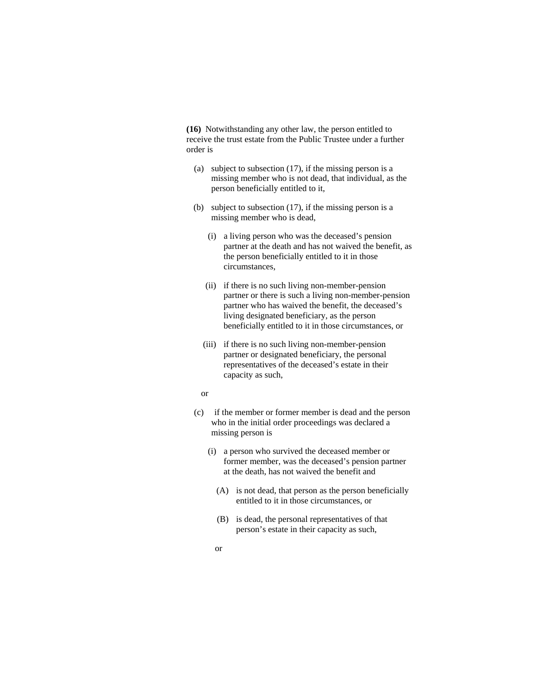**(16)** Notwithstanding any other law, the person entitled to receive the trust estate from the Public Trustee under a further order is

- (a) subject to subsection (17), if the missing person is a missing member who is not dead, that individual, as the person beneficially entitled to it,
- (b) subject to subsection (17), if the missing person is a missing member who is dead,
	- (i) a living person who was the deceased's pension partner at the death and has not waived the benefit, as the person beneficially entitled to it in those circumstances,
	- (ii) if there is no such living non-member-pension partner or there is such a living non-member-pension partner who has waived the benefit, the deceased's living designated beneficiary, as the person beneficially entitled to it in those circumstances, or
	- (iii) if there is no such living non-member-pension partner or designated beneficiary, the personal representatives of the deceased's estate in their capacity as such,
	- or
- (c) if the member or former member is dead and the person who in the initial order proceedings was declared a missing person is
	- (i) a person who survived the deceased member or former member, was the deceased's pension partner at the death, has not waived the benefit and
		- (A) is not dead, that person as the person beneficially entitled to it in those circumstances, or
		- (B) is dead, the personal representatives of that person's estate in their capacity as such,
		- or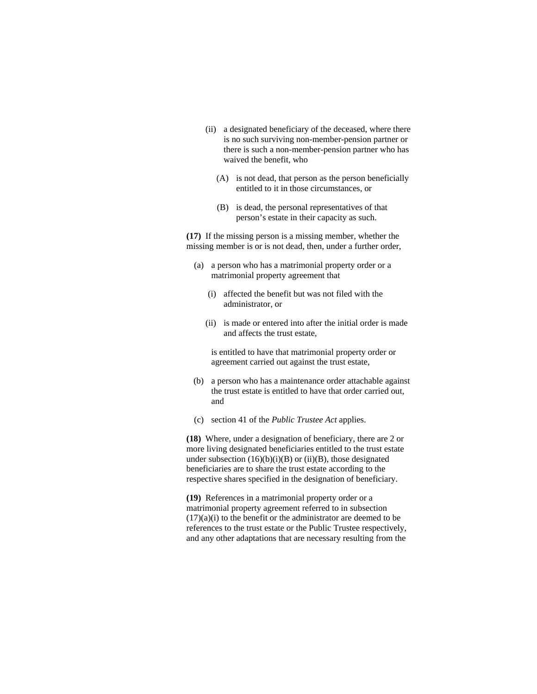- (ii) a designated beneficiary of the deceased, where there is no such surviving non-member-pension partner or there is such a non-member-pension partner who has waived the benefit, who
	- (A) is not dead, that person as the person beneficially entitled to it in those circumstances, or
	- (B) is dead, the personal representatives of that person's estate in their capacity as such.

**(17)** If the missing person is a missing member, whether the missing member is or is not dead, then, under a further order,

- (a) a person who has a matrimonial property order or a matrimonial property agreement that
	- (i) affected the benefit but was not filed with the administrator, or
	- (ii) is made or entered into after the initial order is made and affects the trust estate,

 is entitled to have that matrimonial property order or agreement carried out against the trust estate,

- (b) a person who has a maintenance order attachable against the trust estate is entitled to have that order carried out, and
- (c) section 41 of the *Public Trustee Act* applies.

**(18)** Where, under a designation of beneficiary, there are 2 or more living designated beneficiaries entitled to the trust estate under subsection  $(16)(b)(i)(B)$  or  $(ii)(B)$ , those designated beneficiaries are to share the trust estate according to the respective shares specified in the designation of beneficiary.

**(19)** References in a matrimonial property order or a matrimonial property agreement referred to in subsection  $(17)(a)(i)$  to the benefit or the administrator are deemed to be references to the trust estate or the Public Trustee respectively, and any other adaptations that are necessary resulting from the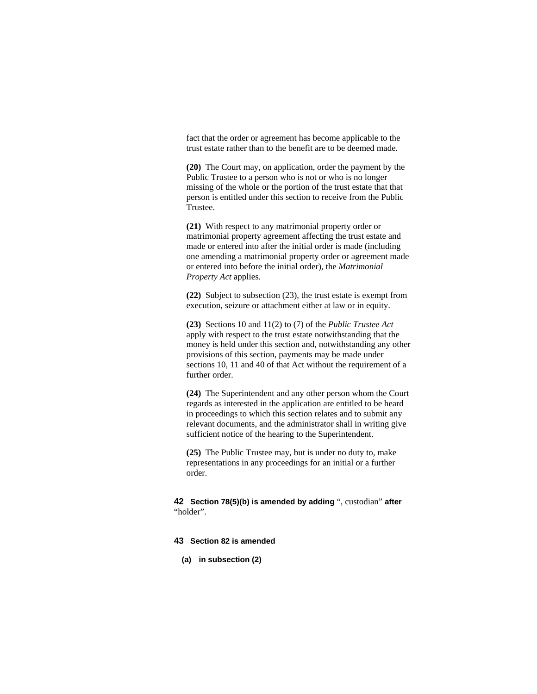fact that the order or agreement has become applicable to the trust estate rather than to the benefit are to be deemed made.

**(20)** The Court may, on application, order the payment by the Public Trustee to a person who is not or who is no longer missing of the whole or the portion of the trust estate that that person is entitled under this section to receive from the Public Trustee.

**(21)** With respect to any matrimonial property order or matrimonial property agreement affecting the trust estate and made or entered into after the initial order is made (including one amending a matrimonial property order or agreement made or entered into before the initial order), the *Matrimonial Property Act* applies.

**(22)** Subject to subsection (23), the trust estate is exempt from execution, seizure or attachment either at law or in equity.

**(23)** Sections 10 and 11(2) to (7) of the *Public Trustee Act* apply with respect to the trust estate notwithstanding that the money is held under this section and, notwithstanding any other provisions of this section, payments may be made under sections 10, 11 and 40 of that Act without the requirement of a further order.

**(24)** The Superintendent and any other person whom the Court regards as interested in the application are entitled to be heard in proceedings to which this section relates and to submit any relevant documents, and the administrator shall in writing give sufficient notice of the hearing to the Superintendent.

**(25)** The Public Trustee may, but is under no duty to, make representations in any proceedings for an initial or a further order.

**42 Section 78(5)(b) is amended by adding** ", custodian" **after**  "holder".

# **43 Section 82 is amended**

**(a) in subsection (2)**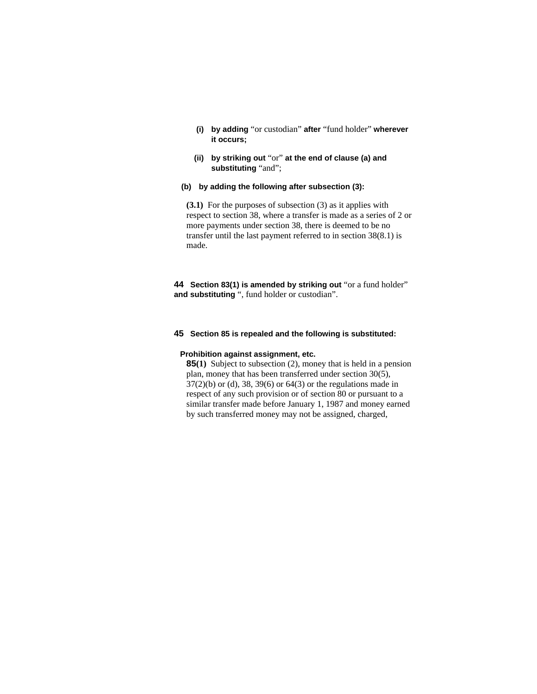- **(i) by adding** "or custodian" **after** "fund holder" **wherever it occurs;**
- **(ii) by striking out** "or" **at the end of clause (a) and substituting** "and";
- **(b) by adding the following after subsection (3):**

**(3.1)** For the purposes of subsection (3) as it applies with respect to section 38, where a transfer is made as a series of 2 or more payments under section 38, there is deemed to be no transfer until the last payment referred to in section 38(8.1) is made.

**44 Section 83(1) is amended by striking out** "or a fund holder" **and substituting** ", fund holder or custodian".

## **45 Section 85 is repealed and the following is substituted:**

## **Prohibition against assignment, etc.**

**85(1)** Subject to subsection (2), money that is held in a pension plan, money that has been transferred under section 30(5), 37(2)(b) or (d), 38, 39(6) or 64(3) or the regulations made in respect of any such provision or of section 80 or pursuant to a similar transfer made before January 1, 1987 and money earned by such transferred money may not be assigned, charged,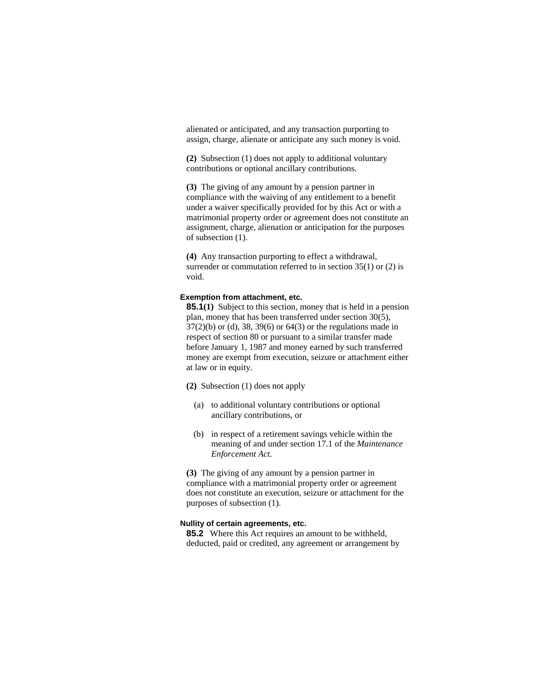alienated or anticipated, and any transaction purporting to assign, charge, alienate or anticipate any such money is void.

**(2)** Subsection (1) does not apply to additional voluntary contributions or optional ancillary contributions.

**(3)** The giving of any amount by a pension partner in compliance with the waiving of any entitlement to a benefit under a waiver specifically provided for by this Act or with a matrimonial property order or agreement does not constitute an assignment, charge, alienation or anticipation for the purposes of subsection (1).

**(4)** Any transaction purporting to effect a withdrawal, surrender or commutation referred to in section 35(1) or (2) is void.

### **Exemption from attachment, etc.**

**85.1(1)** Subject to this section, money that is held in a pension plan, money that has been transferred under section 30(5), 37(2)(b) or (d), 38, 39(6) or 64(3) or the regulations made in respect of section 80 or pursuant to a similar transfer made before January 1, 1987 and money earned by such transferred money are exempt from execution, seizure or attachment either at law or in equity.

- **(2)** Subsection (1) does not apply
	- (a) to additional voluntary contributions or optional ancillary contributions, or
	- (b) in respect of a retirement savings vehicle within the meaning of and under section 17.1 of the *Maintenance Enforcement Act*.

**(3)** The giving of any amount by a pension partner in compliance with a matrimonial property order or agreement does not constitute an execution, seizure or attachment for the purposes of subsection (1).

## **Nullity of certain agreements, etc.**

**85.2** Where this Act requires an amount to be withheld, deducted, paid or credited, any agreement or arrangement by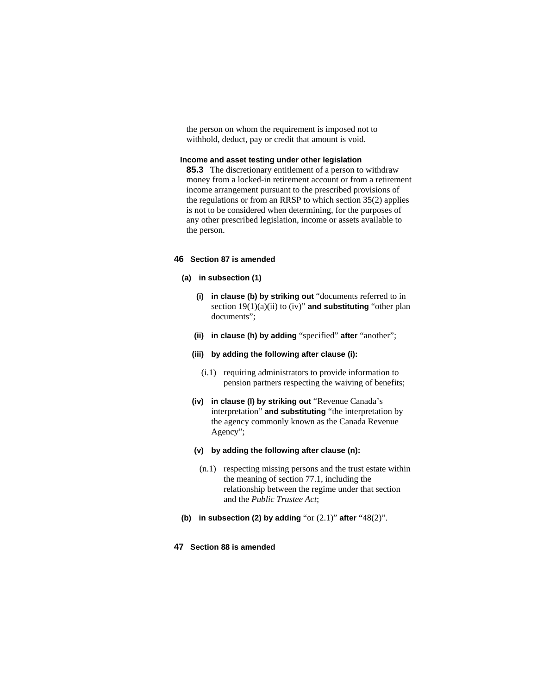the person on whom the requirement is imposed not to withhold, deduct, pay or credit that amount is void.

# **Income and asset testing under other legislation**

**85.3** The discretionary entitlement of a person to withdraw money from a locked-in retirement account or from a retirement income arrangement pursuant to the prescribed provisions of the regulations or from an RRSP to which section 35(2) applies is not to be considered when determining, for the purposes of any other prescribed legislation, income or assets available to the person.

## **46 Section 87 is amended**

- **(a) in subsection (1)**
	- **(i) in clause (b) by striking out** "documents referred to in section 19(1)(a)(ii) to (iv)" **and substituting** "other plan documents";
	- **(ii) in clause (h) by adding** "specified" **after** "another";
	- **(iii) by adding the following after clause (i):**
		- (i.1) requiring administrators to provide information to pension partners respecting the waiving of benefits;
	- **(iv) in clause (l) by striking out** "Revenue Canada's interpretation" **and substituting** "the interpretation by the agency commonly known as the Canada Revenue Agency";
	- **(v) by adding the following after clause (n):**
	- (n.1) respecting missing persons and the trust estate within the meaning of section 77.1, including the relationship between the regime under that section and the *Public Trustee Act*;
- **(b) in subsection (2) by adding** "or (2.1)" **after** "48(2)".

# **47 Section 88 is amended**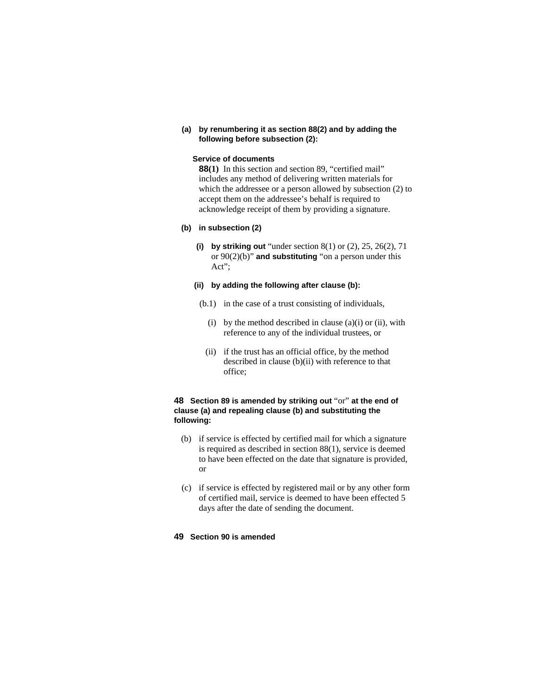**(a) by renumbering it as section 88(2) and by adding the following before subsection (2):**

# **Service of documents**

**88(1)** In this section and section 89, "certified mail" includes any method of delivering written materials for which the addressee or a person allowed by subsection (2) to accept them on the addressee's behalf is required to acknowledge receipt of them by providing a signature.

# **(b) in subsection (2)**

**(i) by striking out** "under section 8(1) or (2), 25, 26(2), 71 or 90(2)(b)" **and substituting** "on a person under this Act";

# **(ii) by adding the following after clause (b):**

- (b.1) in the case of a trust consisting of individuals,
	- (i) by the method described in clause  $(a)(i)$  or (ii), with reference to any of the individual trustees, or
	- (ii) if the trust has an official office, by the method described in clause (b)(ii) with reference to that office;

# **48 Section 89 is amended by striking out** "or" **at the end of clause (a) and repealing clause (b) and substituting the following:**

- (b) if service is effected by certified mail for which a signature is required as described in section 88(1), service is deemed to have been effected on the date that signature is provided, or
- (c) if service is effected by registered mail or by any other form of certified mail, service is deemed to have been effected 5 days after the date of sending the document.

# **49 Section 90 is amended**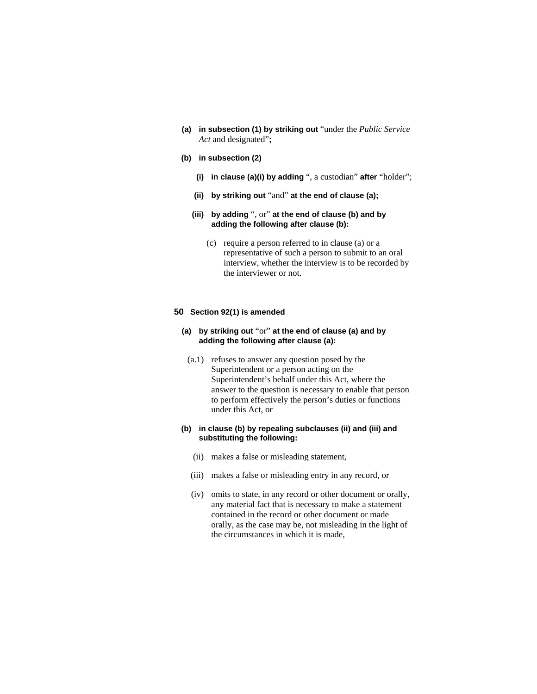**(a) in subsection (1) by striking out** "under the *Public Service Act* and designated"**;**

# **(b) in subsection (2)**

- **(i) in clause (a)(i) by adding** ", a custodian" **after** "holder";
- **(ii) by striking out** "and" **at the end of clause (a);**
- **(iii) by adding** ", or" **at the end of clause (b) and by adding the following after clause (b):** 
	- (c) require a person referred to in clause (a) or a representative of such a person to submit to an oral interview, whether the interview is to be recorded by the interviewer or not.

### **50 Section 92(1) is amended**

# **(a) by striking out** "or" **at the end of clause (a) and by adding the following after clause (a):**

 (a.1) refuses to answer any question posed by the Superintendent or a person acting on the Superintendent's behalf under this Act, where the answer to the question is necessary to enable that person to perform effectively the person's duties or functions under this Act, or

# **(b) in clause (b) by repealing subclauses (ii) and (iii) and substituting the following:**

- (ii) makes a false or misleading statement,
- (iii) makes a false or misleading entry in any record, or
- (iv) omits to state, in any record or other document or orally, any material fact that is necessary to make a statement contained in the record or other document or made orally, as the case may be, not misleading in the light of the circumstances in which it is made,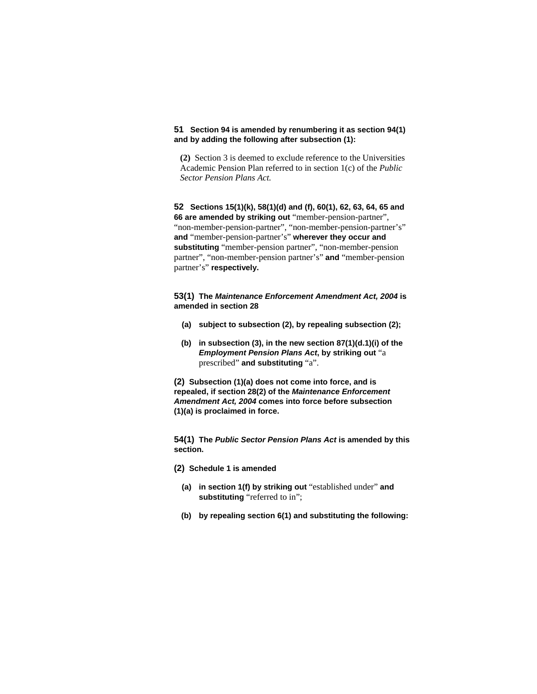# **51 Section 94 is amended by renumbering it as section 94(1) and by adding the following after subsection (1):**

**(2)** Section 3 is deemed to exclude reference to the Universities Academic Pension Plan referred to in section 1(c) of the *Public Sector Pension Plans Act.* 

**52 Sections 15(1)(k), 58(1)(d) and (f), 60(1), 62, 63, 64, 65 and 66 are amended by striking out** "member-pension-partner", "non-member-pension-partner", "non-member-pension-partner's" **and** "member-pension-partner's" **wherever they occur and substituting** "member-pension partner", "non-member-pension partner", "non-member-pension partner's" **and** "member-pension partner's" **respectively.** 

**53(1) The** *Maintenance Enforcement Amendment Act, 2004* **is amended in section 28**

- **(a) subject to subsection (2), by repealing subsection (2);**
- **(b) in subsection (3), in the new section 87(1)(d.1)(i) of the**  *Employment Pension Plans Act***, by striking out** "a prescribed" **and substituting** "a".

**(2) Subsection (1)(a) does not come into force, and is repealed, if section 28(2) of the** *Maintenance Enforcement Amendment Act, 2004* **comes into force before subsection (1)(a) is proclaimed in force.** 

**54(1) The** *Public Sector Pension Plans Act* **is amended by this section.**

**(2) Schedule 1 is amended**

- **(a) in section 1(f) by striking out** "established under" **and substituting** "referred to in";
- **(b) by repealing section 6(1) and substituting the following:**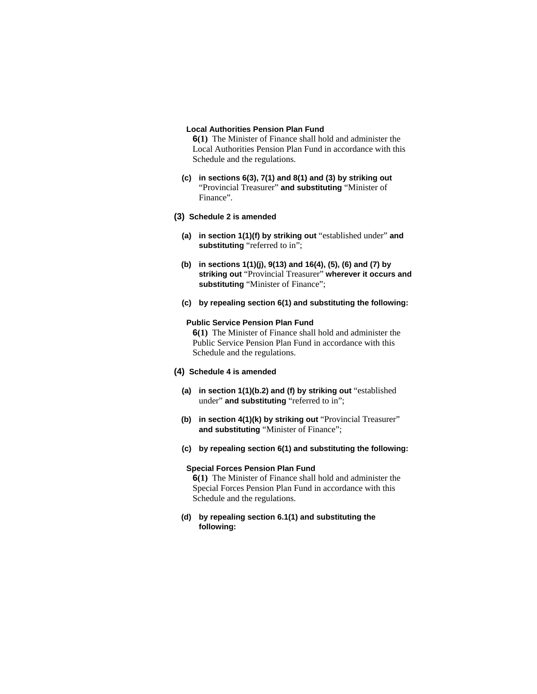### **Local Authorities Pension Plan Fund**

**6(1)** The Minister of Finance shall hold and administer the Local Authorities Pension Plan Fund in accordance with this Schedule and the regulations.

**(c) in sections 6(3), 7(1) and 8(1) and (3) by striking out**  "Provincial Treasurer" **and substituting** "Minister of Finance".

# **(3) Schedule 2 is amended**

- **(a) in section 1(1)(f) by striking out** "established under" **and substituting** "referred to in";
- **(b) in sections 1(1)(j), 9(13) and 16(4), (5), (6) and (7) by striking out** "Provincial Treasurer" **wherever it occurs and substituting** "Minister of Finance";
- **(c) by repealing section 6(1) and substituting the following:**

## **Public Service Pension Plan Fund**

**6(1)** The Minister of Finance shall hold and administer the Public Service Pension Plan Fund in accordance with this Schedule and the regulations.

## **(4) Schedule 4 is amended**

- **(a) in section 1(1)(b.2) and (f) by striking out** "established under" **and substituting** "referred to in";
- **(b) in section 4(1)(k) by striking out** "Provincial Treasurer" **and substituting** "Minister of Finance";
- **(c) by repealing section 6(1) and substituting the following:**

## **Special Forces Pension Plan Fund**

**6(1)** The Minister of Finance shall hold and administer the Special Forces Pension Plan Fund in accordance with this Schedule and the regulations.

**(d) by repealing section 6.1(1) and substituting the following:**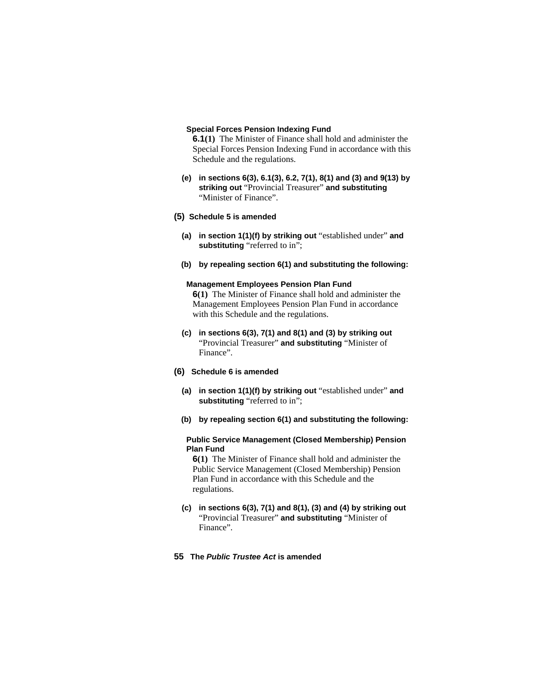### **Special Forces Pension Indexing Fund**

**6.1(1)** The Minister of Finance shall hold and administer the Special Forces Pension Indexing Fund in accordance with this Schedule and the regulations.

- **(e) in sections 6(3), 6.1(3), 6.2, 7(1), 8(1) and (3) and 9(13) by striking out** "Provincial Treasurer" **and substituting**  "Minister of Finance".
- **(5) Schedule 5 is amended**
	- **(a) in section 1(1)(f) by striking out** "established under" **and substituting** "referred to in";
	- **(b) by repealing section 6(1) and substituting the following:**

#### **Management Employees Pension Plan Fund**

**6(1)** The Minister of Finance shall hold and administer the Management Employees Pension Plan Fund in accordance with this Schedule and the regulations.

- **(c) in sections 6(3), 7(1) and 8(1) and (3) by striking out**  "Provincial Treasurer" **and substituting** "Minister of Finance".
- **(6) Schedule 6 is amended**
	- **(a) in section 1(1)(f) by striking out** "established under" **and substituting** "referred to in";
	- **(b) by repealing section 6(1) and substituting the following:**

## **Public Service Management (Closed Membership) Pension Plan Fund**

**6(1)** The Minister of Finance shall hold and administer the Public Service Management (Closed Membership) Pension Plan Fund in accordance with this Schedule and the regulations.

- **(c) in sections 6(3), 7(1) and 8(1), (3) and (4) by striking out**  "Provincial Treasurer" **and substituting** "Minister of Finance".
- **55 The** *Public Trustee Act* **is amended**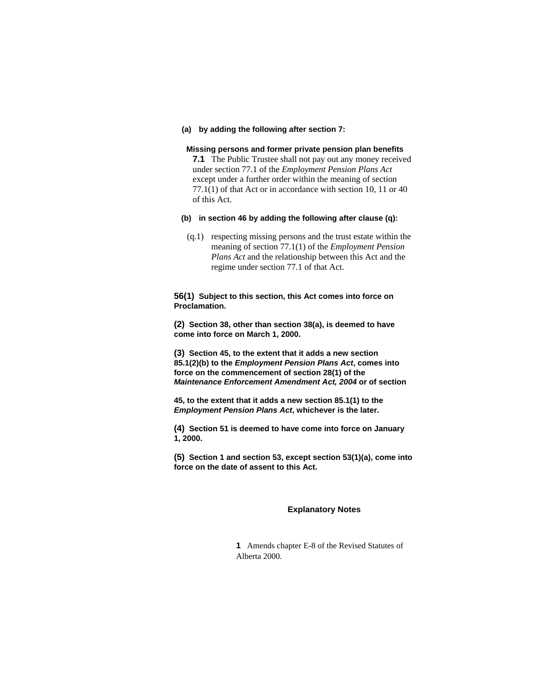**(a) by adding the following after section 7:**

#### **Missing persons and former private pension plan benefits**

**7.1** The Public Trustee shall not pay out any money received under section 77.1 of the *Employment Pension Plans Act* except under a further order within the meaning of section 77.1(1) of that Act or in accordance with section 10, 11 or 40 of this Act.

- **(b) in section 46 by adding the following after clause (q):**
	- (q.1) respecting missing persons and the trust estate within the meaning of section 77.1(1) of the *Employment Pension Plans Act* and the relationship between this Act and the regime under section 77.1 of that Act.

**56(1) Subject to this section, this Act comes into force on Proclamation.**

**(2) Section 38, other than section 38(a), is deemed to have come into force on March 1, 2000.**

**(3) Section 45, to the extent that it adds a new section 85.1(2)(b) to the** *Employment Pension Plans Act***, comes into force on the commencement of section 28(1) of the**  *Maintenance Enforcement Amendment Act, 2004* **or of section** 

**45, to the extent that it adds a new section 85.1(1) to the**  *Employment Pension Plans Act***, whichever is the later.** 

**(4) Section 51 is deemed to have come into force on January 1, 2000.**

**(5) Section 1 and section 53, except section 53(1)(a), come into force on the date of assent to this Act.** 

#### **Explanatory Notes**

**1** Amends chapter E-8 of the Revised Statutes of Alberta 2000.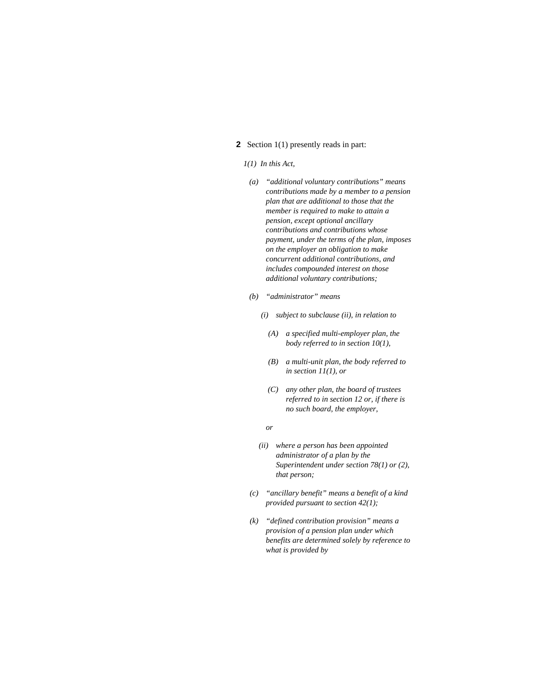# **2** Section 1(1) presently reads in part:

#### *1(1) In this Act,*

- *(a) "additional voluntary contributions" means contributions made by a member to a pension plan that are additional to those that the member is required to make to attain a pension, except optional ancillary contributions and contributions whose payment, under the terms of the plan, imposes on the employer an obligation to make concurrent additional contributions, and includes compounded interest on those additional voluntary contributions;*
- *(b) "administrator" means* 
	- *(i) subject to subclause (ii), in relation to* 
		- *(A) a specified multi-employer plan, the body referred to in section 10(1),*
		- *(B) a multi-unit plan, the body referred to in section 11(1), or*
		- *(C) any other plan, the board of trustees referred to in section 12 or, if there is no such board, the employer,*
- *or* 
	- *(ii) where a person has been appointed administrator of a plan by the Superintendent under section 78(1) or (2), that person;*
	- *(c) "ancillary benefit" means a benefit of a kind provided pursuant to section 42(1);*
	- *(k) "defined contribution provision" means a provision of a pension plan under which benefits are determined solely by reference to what is provided by*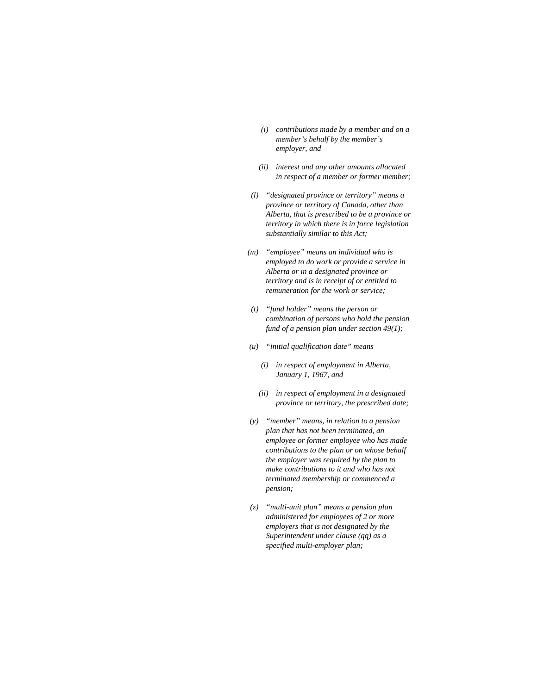- *(i) contributions made by a member and on a member's behalf by the member's employer, and*
- *(ii) interest and any other amounts allocated in respect of a member or former member;*
- *(l) "designated province or territory" means a province or territory of Canada, other than Alberta, that is prescribed to be a province or territory in which there is in force legislation substantially similar to this Act;*
- *(m) "employee" means an individual who is employed to do work or provide a service in Alberta or in a designated province or territory and is in receipt of or entitled to remuneration for the work or service;*
- *(t) "fund holder" means the person or combination of persons who hold the pension fund of a pension plan under section 49(1);*
- *(u) "initial qualification date" means* 
	- *(i) in respect of employment in Alberta, January 1, 1967, and*
	- *(ii) in respect of employment in a designated province or territory, the prescribed date;*
- *(y) "member" means, in relation to a pension plan that has not been terminated, an employee or former employee who has made contributions to the plan or on whose behalf the employer was required by the plan to make contributions to it and who has not terminated membership or commenced a pension;*
- *(z) "multi-unit plan" means a pension plan administered for employees of 2 or more employers that is not designated by the Superintendent under clause (qq) as a specified multi-employer plan;*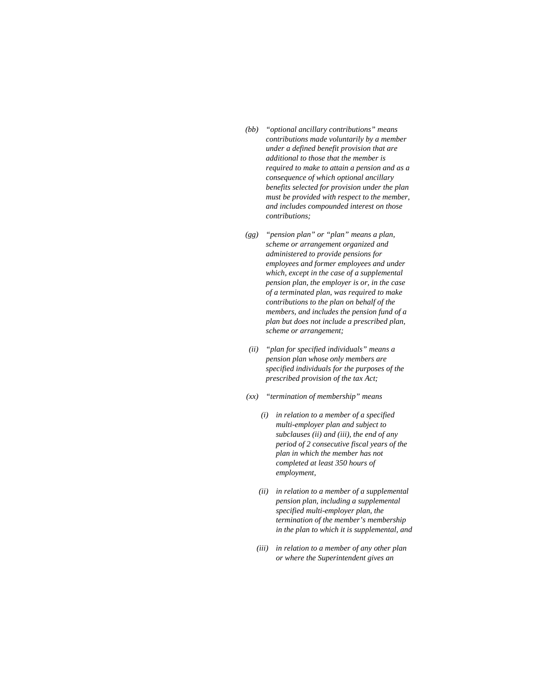- *(bb) "optional ancillary contributions" means contributions made voluntarily by a member under a defined benefit provision that are additional to those that the member is required to make to attain a pension and as a consequence of which optional ancillary benefits selected for provision under the plan must be provided with respect to the member, and includes compounded interest on those contributions;*
- *(gg) "pension plan" or "plan" means a plan, scheme or arrangement organized and administered to provide pensions for employees and former employees and under which, except in the case of a supplemental pension plan, the employer is or, in the case of a terminated plan, was required to make contributions to the plan on behalf of the members, and includes the pension fund of a plan but does not include a prescribed plan, scheme or arrangement;*
- *(ii) "plan for specified individuals" means a pension plan whose only members are specified individuals for the purposes of the prescribed provision of the tax Act;*
- *(xx) "termination of membership" means* 
	- *(i) in relation to a member of a specified multi-employer plan and subject to subclauses (ii) and (iii), the end of any period of 2 consecutive fiscal years of the plan in which the member has not completed at least 350 hours of employment,*
	- *(ii) in relation to a member of a supplemental pension plan, including a supplemental specified multi-employer plan, the termination of the member's membership in the plan to which it is supplemental, and*
	- *(iii) in relation to a member of any other plan or where the Superintendent gives an*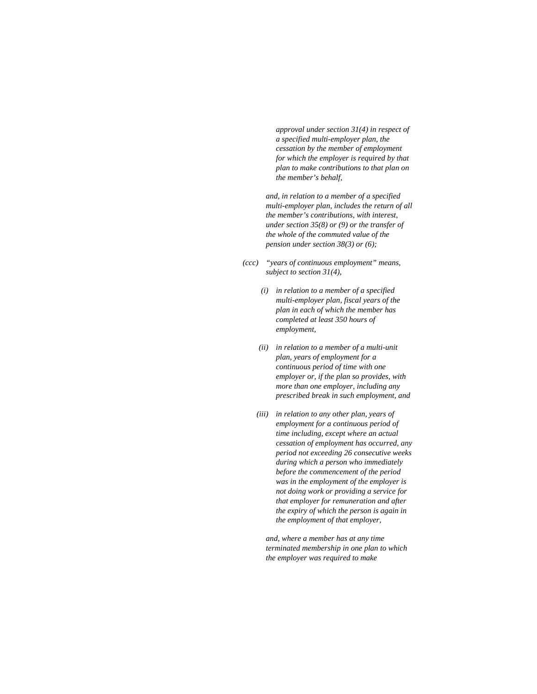*approval under section 31(4) in respect of a specified multi-employer plan, the cessation by the member of employment for which the employer is required by that plan to make contributions to that plan on the member's behalf,* 

 *and, in relation to a member of a specified multi-employer plan, includes the return of all the member's contributions, with interest, under section 35(8) or (9) or the transfer of the whole of the commuted value of the pension under section 38(3) or (6);* 

- *(ccc) "years of continuous employment" means, subject to section 31(4),* 
	- *(i) in relation to a member of a specified multi-employer plan, fiscal years of the plan in each of which the member has completed at least 350 hours of employment,*
	- *(ii) in relation to a member of a multi-unit plan, years of employment for a continuous period of time with one employer or, if the plan so provides, with more than one employer, including any prescribed break in such employment, and*
	- *(iii) in relation to any other plan, years of employment for a continuous period of time including, except where an actual cessation of employment has occurred, any period not exceeding 26 consecutive weeks during which a person who immediately before the commencement of the period was in the employment of the employer is not doing work or providing a service for that employer for remuneration and after the expiry of which the person is again in the employment of that employer,*

 *and, where a member has at any time terminated membership in one plan to which the employer was required to make*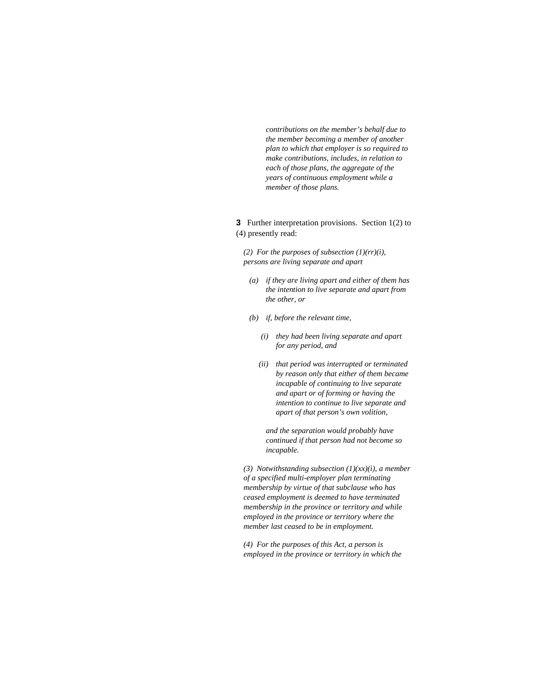*contributions on the member's behalf due to the member becoming a member of another plan to which that employer is so required to make contributions, includes, in relation to each of those plans, the aggregate of the years of continuous employment while a member of those plans.* 

**3** Further interpretation provisions. Section 1(2) to (4) presently read:

*(2) For the purposes of subsection (1)(rr)(i), persons are living separate and apart* 

- *(a) if they are living apart and either of them has the intention to live separate and apart from the other, or*
- *(b) if, before the relevant time,* 
	- *(i) they had been living separate and apart for any period, and*
	- *(ii) that period was interrupted or terminated by reason only that either of them became incapable of continuing to live separate and apart or of forming or having the intention to continue to live separate and apart of that person's own volition,*

 *and the separation would probably have continued if that person had not become so incapable.* 

*(3) Notwithstanding subsection (1)(xx)(i), a member of a specified multi-employer plan terminating membership by virtue of that subclause who has ceased employment is deemed to have terminated membership in the province or territory and while employed in the province or territory where the member last ceased to be in employment.* 

*(4) For the purposes of this Act, a person is employed in the province or territory in which the*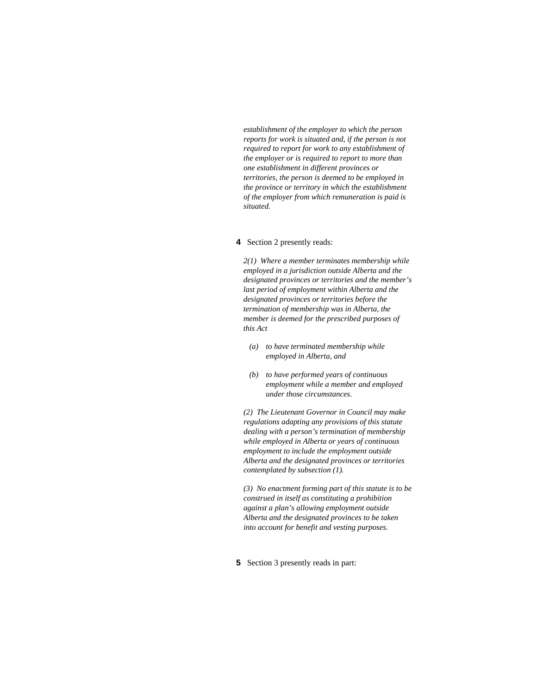*establishment of the employer to which the person reports for work is situated and, if the person is not required to report for work to any establishment of the employer or is required to report to more than one establishment in different provinces or territories, the person is deemed to be employed in the province or territory in which the establishment of the employer from which remuneration is paid is situated.* 

# **4** Section 2 presently reads:

*2(1) Where a member terminates membership while employed in a jurisdiction outside Alberta and the designated provinces or territories and the member's last period of employment within Alberta and the designated provinces or territories before the termination of membership was in Alberta, the member is deemed for the prescribed purposes of this Act* 

- *(a) to have terminated membership while employed in Alberta, and*
- *(b) to have performed years of continuous employment while a member and employed under those circumstances.*

*(2) The Lieutenant Governor in Council may make regulations adapting any provisions of this statute dealing with a person's termination of membership while employed in Alberta or years of continuous employment to include the employment outside Alberta and the designated provinces or territories contemplated by subsection (1).* 

*(3) No enactment forming part of this statute is to be construed in itself as constituting a prohibition against a plan's allowing employment outside Alberta and the designated provinces to be taken into account for benefit and vesting purposes.* 

**5** Section 3 presently reads in part: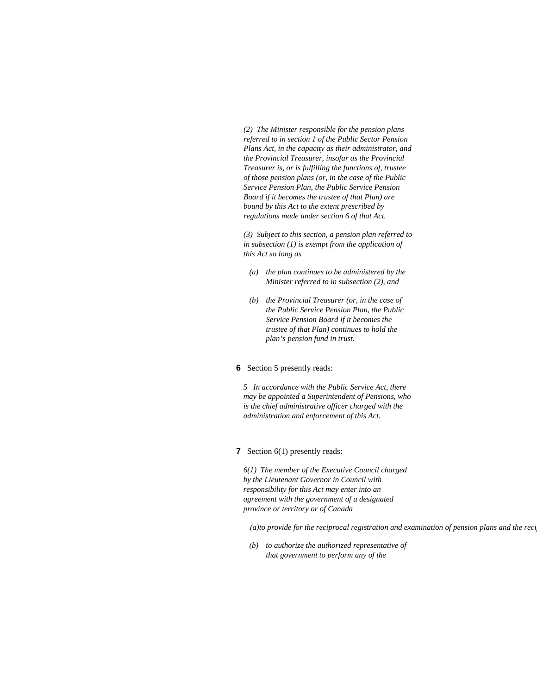*(2) The Minister responsible for the pension plans referred to in section 1 of the Public Sector Pension Plans Act, in the capacity as their administrator, and the Provincial Treasurer, insofar as the Provincial Treasurer is, or is fulfilling the functions of, trustee of those pension plans (or, in the case of the Public Service Pension Plan, the Public Service Pension Board if it becomes the trustee of that Plan) are bound by this Act to the extent prescribed by regulations made under section 6 of that Act.* 

*(3) Subject to this section, a pension plan referred to in subsection (1) is exempt from the application of this Act so long as* 

- *(a) the plan continues to be administered by the Minister referred to in subsection (2), and*
- *(b) the Provincial Treasurer (or, in the case of the Public Service Pension Plan, the Public Service Pension Board if it becomes the trustee of that Plan) continues to hold the plan's pension fund in trust.*

### **6** Section 5 presently reads:

*5 In accordance with the Public Service Act, there may be appointed a Superintendent of Pensions, who is the chief administrative officer charged with the administration and enforcement of this Act.* 

### **7** Section 6(1) presently reads:

*6(1) The member of the Executive Council charged by the Lieutenant Governor in Council with responsibility for this Act may enter into an agreement with the government of a designated province or territory or of Canada* 

*(a)to provide for the reciprocal registration and examination of pension plans and the recip*

 *(b) to authorize the authorized representative of that government to perform any of the*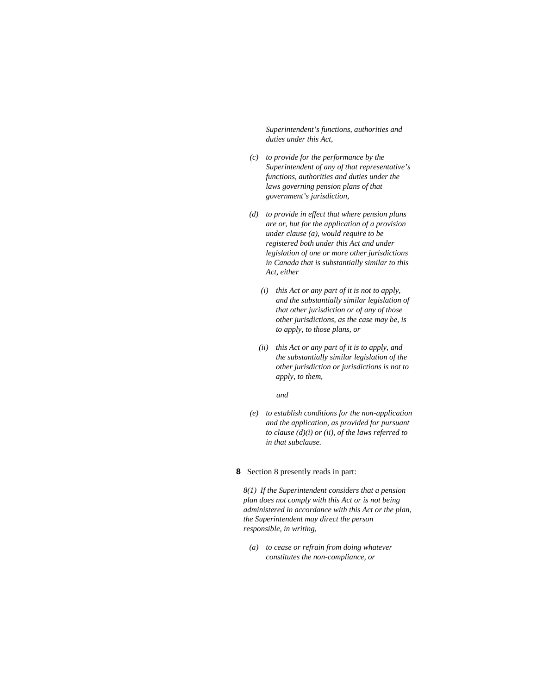*Superintendent's functions, authorities and duties under this Act,* 

- *(c) to provide for the performance by the Superintendent of any of that representative's functions, authorities and duties under the laws governing pension plans of that government's jurisdiction,*
- *(d) to provide in effect that where pension plans are or, but for the application of a provision under clause (a), would require to be registered both under this Act and under legislation of one or more other jurisdictions in Canada that is substantially similar to this Act, either* 
	- *(i) this Act or any part of it is not to apply, and the substantially similar legislation of that other jurisdiction or of any of those other jurisdictions, as the case may be, is to apply, to those plans, or*
	- *(ii) this Act or any part of it is to apply, and the substantially similar legislation of the other jurisdiction or jurisdictions is not to apply, to them,*

 *and* 

 *(e) to establish conditions for the non-application and the application, as provided for pursuant to clause (d)(i) or (ii), of the laws referred to in that subclause.* 

# **8** Section 8 presently reads in part:

*8(1) If the Superintendent considers that a pension plan does not comply with this Act or is not being administered in accordance with this Act or the plan, the Superintendent may direct the person responsible, in writing,* 

 *(a) to cease or refrain from doing whatever constitutes the non-compliance, or*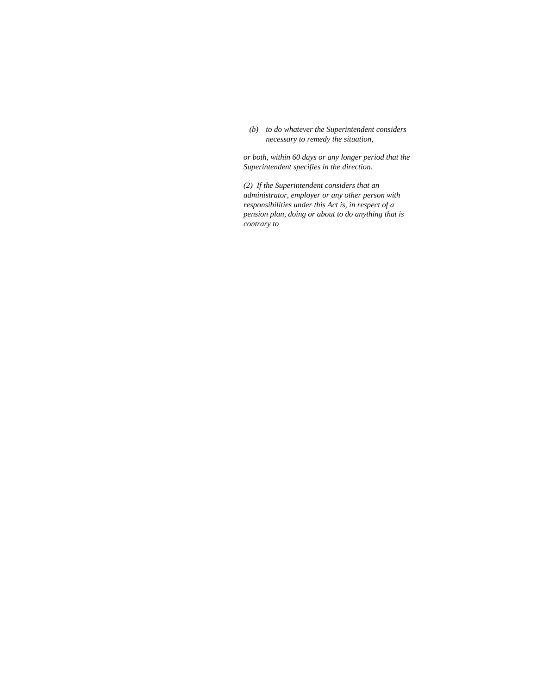*(b) to do whatever the Superintendent considers necessary to remedy the situation,* 

*or both, within 60 days or any longer period that the Superintendent specifies in the direction.* 

*(2) If the Superintendent considers that an administrator, employer or any other person with responsibilities under this Act is, in respect of a pension plan, doing or about to do anything that is contrary to*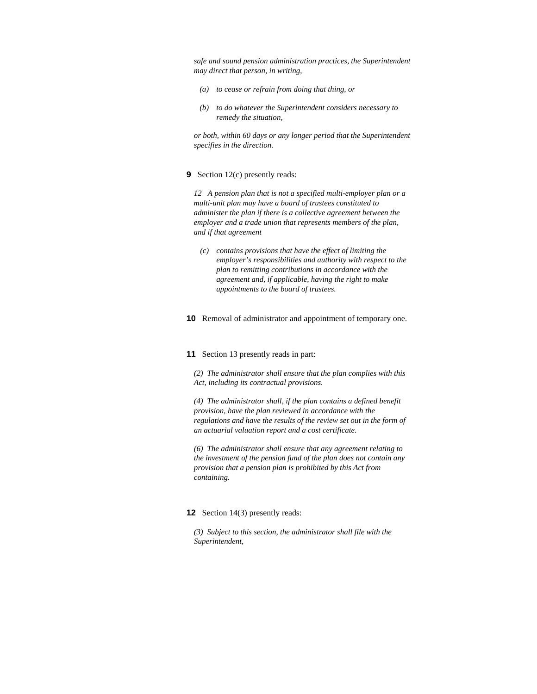*safe and sound pension administration practices, the Superintendent may direct that person, in writing,* 

- *(a) to cease or refrain from doing that thing, or*
- *(b) to do whatever the Superintendent considers necessary to remedy the situation,*

*or both, within 60 days or any longer period that the Superintendent specifies in the direction.* 

## **9** Section 12(c) presently reads:

*12 A pension plan that is not a specified multi-employer plan or a multi-unit plan may have a board of trustees constituted to administer the plan if there is a collective agreement between the employer and a trade union that represents members of the plan, and if that agreement* 

- *(c) contains provisions that have the effect of limiting the employer's responsibilities and authority with respect to the plan to remitting contributions in accordance with the agreement and, if applicable, having the right to make appointments to the board of trustees.*
- **10** Removal of administrator and appointment of temporary one.

### **11** Section 13 presently reads in part:

*(2) The administrator shall ensure that the plan complies with this Act, including its contractual provisions.* 

*(4) The administrator shall, if the plan contains a defined benefit provision, have the plan reviewed in accordance with the regulations and have the results of the review set out in the form of an actuarial valuation report and a cost certificate.* 

*(6) The administrator shall ensure that any agreement relating to the investment of the pension fund of the plan does not contain any provision that a pension plan is prohibited by this Act from containing.* 

#### **12** Section 14(3) presently reads:

*(3) Subject to this section, the administrator shall file with the Superintendent,*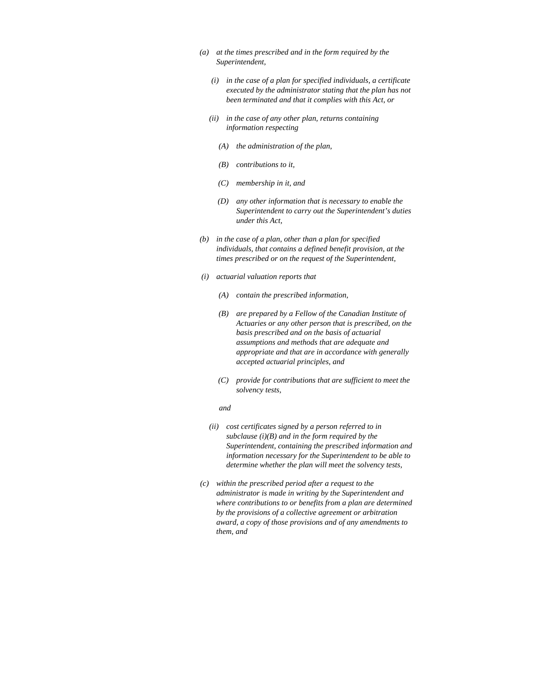- *(a) at the times prescribed and in the form required by the Superintendent,* 
	- *(i) in the case of a plan for specified individuals, a certificate executed by the administrator stating that the plan has not been terminated and that it complies with this Act, or*
	- *(ii) in the case of any other plan, returns containing information respecting* 
		- *(A) the administration of the plan,*
		- *(B) contributions to it,*
		- *(C) membership in it, and*
		- *(D) any other information that is necessary to enable the Superintendent to carry out the Superintendent's duties under this Act,*
- *(b) in the case of a plan, other than a plan for specified individuals, that contains a defined benefit provision, at the times prescribed or on the request of the Superintendent,*
- *(i) actuarial valuation reports that* 
	- *(A) contain the prescribed information,*
	- *(B) are prepared by a Fellow of the Canadian Institute of Actuaries or any other person that is prescribed, on the basis prescribed and on the basis of actuarial assumptions and methods that are adequate and appropriate and that are in accordance with generally accepted actuarial principles, and*
	- *(C) provide for contributions that are sufficient to meet the solvency tests,*

#### *and and*

- *(ii) cost certificates signed by a person referred to in subclause (i)(B) and in the form required by the Superintendent, containing the prescribed information and information necessary for the Superintendent to be able to determine whether the plan will meet the solvency tests,*
- *(c) within the prescribed period after a request to the administrator is made in writing by the Superintendent and where contributions to or benefits from a plan are determined by the provisions of a collective agreement or arbitration award, a copy of those provisions and of any amendments to them, and*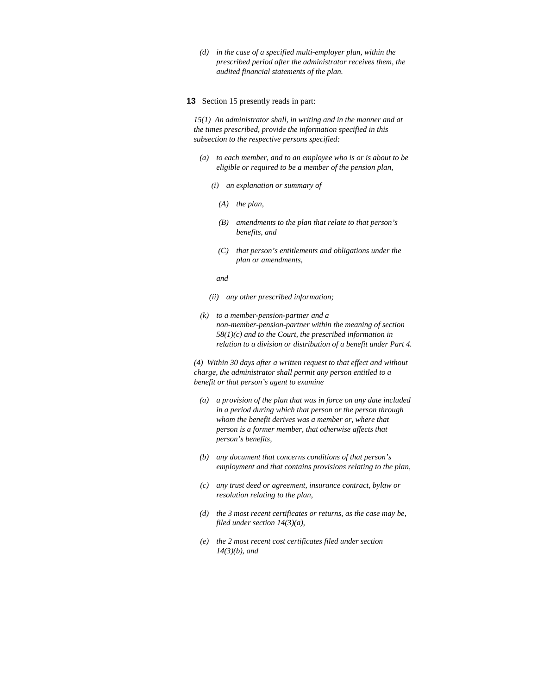*(d) in the case of a specified multi-employer plan, within the prescribed period after the administrator receives them, the audited financial statements of the plan.* 

#### **13** Section 15 presently reads in part:

*15(1) An administrator shall, in writing and in the manner and at the times prescribed, provide the information specified in this subsection to the respective persons specified:* 

- *(a) to each member, and to an employee who is or is about to be eligible or required to be a member of the pension plan,* 
	- *(i) an explanation or summary of* 
		- *(A) the plan,*
		- *(B) amendments to the plan that relate to that person's benefits, and*
		- *(C) that person's entitlements and obligations under the plan or amendments,*
- *and and* 
	- *(ii) any other prescribed information;*
	- *(k) to a member-pension-partner and a non-member-pension-partner within the meaning of section 58(1)(c) and to the Court, the prescribed information in relation to a division or distribution of a benefit under Part 4.*

*(4) Within 30 days after a written request to that effect and without charge, the administrator shall permit any person entitled to a benefit or that person's agent to examine* 

- *(a) a provision of the plan that was in force on any date included in a period during which that person or the person through whom the benefit derives was a member or, where that person is a former member, that otherwise affects that person's benefits,*
- *(b) any document that concerns conditions of that person's employment and that contains provisions relating to the plan,*
- *(c) any trust deed or agreement, insurance contract, bylaw or resolution relating to the plan,*
- *(d) the 3 most recent certificates or returns, as the case may be, filed under section 14(3)(a),*
- *(e) the 2 most recent cost certificates filed under section 14(3)(b), and*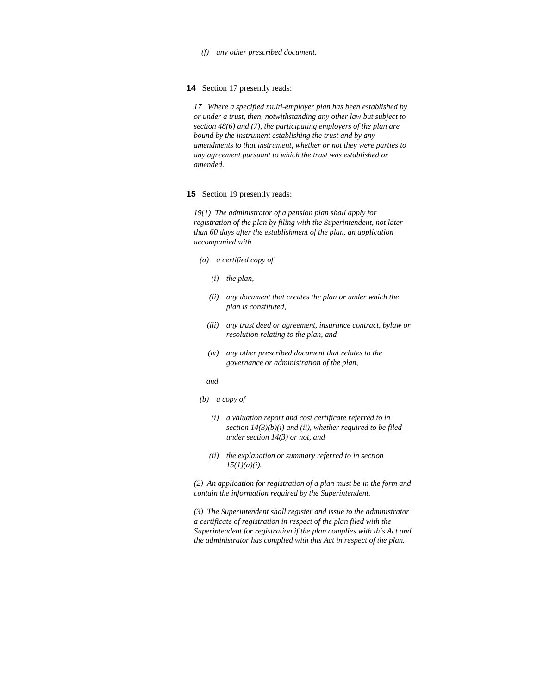*(f) any other prescribed document.* 

**14** Section 17 presently reads:

*17 Where a specified multi-employer plan has been established by or under a trust, then, notwithstanding any other law but subject to section 48(6) and (7), the participating employers of the plan are bound by the instrument establishing the trust and by any amendments to that instrument, whether or not they were parties to any agreement pursuant to which the trust was established or amended.* 

#### **15** Section 19 presently reads:

*19(1) The administrator of a pension plan shall apply for registration of the plan by filing with the Superintendent, not later than 60 days after the establishment of the plan, an application accompanied with* 

- *(a) a certified copy of* 
	- *(i) the plan,*
	- *(ii) any document that creates the plan or under which the plan is constituted,*
	- *(iii) any trust deed or agreement, insurance contract, bylaw or resolution relating to the plan, and*
	- *(iv) any other prescribed document that relates to the governance or administration of the plan,*

- *(b) a copy of* 
	- *(i) a valuation report and cost certificate referred to in section 14(3)(b)(i) and (ii), whether required to be filed under section 14(3) or not, and*
	- *(ii) the explanation or summary referred to in section 15(1)(a)(i).*

*(2) An application for registration of a plan must be in the form and contain the information required by the Superintendent.* 

*(3) The Superintendent shall register and issue to the administrator a certificate of registration in respect of the plan filed with the Superintendent for registration if the plan complies with this Act and the administrator has complied with this Act in respect of the plan.* 

*and*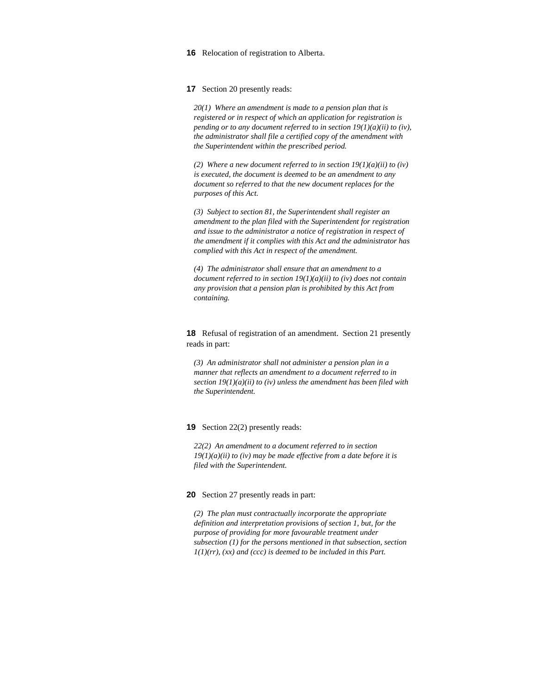**16** Relocation of registration to Alberta.

**17** Section 20 presently reads:

*20(1) Where an amendment is made to a pension plan that is registered or in respect of which an application for registration is pending or to any document referred to in section 19(1)(a)(ii) to (iv), the administrator shall file a certified copy of the amendment with the Superintendent within the prescribed period.* 

*(2) Where a new document referred to in section 19(1)(a)(ii) to (iv) is executed, the document is deemed to be an amendment to any document so referred to that the new document replaces for the purposes of this Act.* 

*(3) Subject to section 81, the Superintendent shall register an amendment to the plan filed with the Superintendent for registration and issue to the administrator a notice of registration in respect of the amendment if it complies with this Act and the administrator has complied with this Act in respect of the amendment.* 

*(4) The administrator shall ensure that an amendment to a document referred to in section 19(1)(a)(ii) to (iv) does not contain any provision that a pension plan is prohibited by this Act from containing.* 

**18** Refusal of registration of an amendment. Section 21 presently reads in part:

*(3) An administrator shall not administer a pension plan in a manner that reflects an amendment to a document referred to in section 19(1)(a)(ii) to (iv) unless the amendment has been filed with the Superintendent.* 

#### **19** Section 22(2) presently reads:

*22(2) An amendment to a document referred to in section 19(1)(a)(ii) to (iv) may be made effective from a date before it is filed with the Superintendent.* 

#### **20** Section 27 presently reads in part:

*(2) The plan must contractually incorporate the appropriate definition and interpretation provisions of section 1, but, for the purpose of providing for more favourable treatment under subsection (1) for the persons mentioned in that subsection, section 1(1)(rr), (xx) and (ccc) is deemed to be included in this Part.*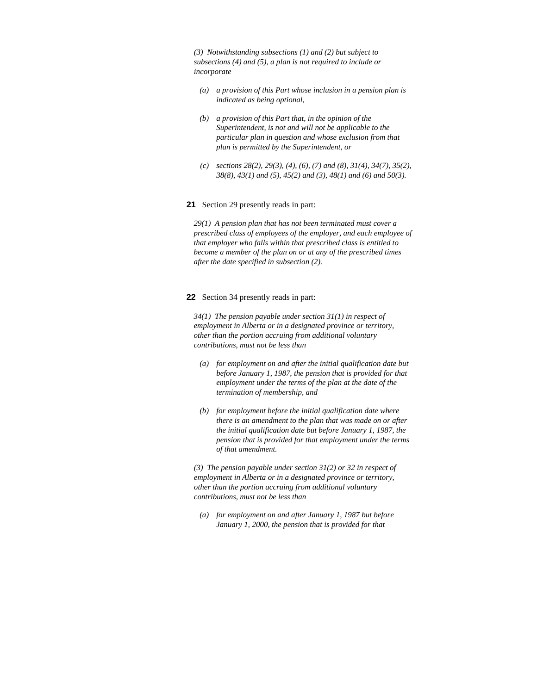*(3) Notwithstanding subsections (1) and (2) but subject to subsections (4) and (5), a plan is not required to include or incorporate* 

- *(a) a provision of this Part whose inclusion in a pension plan is indicated as being optional,*
- *(b) a provision of this Part that, in the opinion of the Superintendent, is not and will not be applicable to the particular plan in question and whose exclusion from that plan is permitted by the Superintendent, or*
- *(c) sections 28(2), 29(3), (4), (6), (7) and (8), 31(4), 34(7), 35(2), 38(8), 43(1) and (5), 45(2) and (3), 48(1) and (6) and 50(3).*
- **21** Section 29 presently reads in part:

*29(1) A pension plan that has not been terminated must cover a prescribed class of employees of the employer, and each employee of that employer who falls within that prescribed class is entitled to become a member of the plan on or at any of the prescribed times after the date specified in subsection (2).* 

#### **22** Section 34 presently reads in part:

*34(1) The pension payable under section 31(1) in respect of employment in Alberta or in a designated province or territory, other than the portion accruing from additional voluntary contributions, must not be less than* 

- *(a) for employment on and after the initial qualification date but before January 1, 1987, the pension that is provided for that employment under the terms of the plan at the date of the termination of membership, and*
- *(b) for employment before the initial qualification date where there is an amendment to the plan that was made on or after the initial qualification date but before January 1, 1987, the pension that is provided for that employment under the terms of that amendment.*

*(3) The pension payable under section 31(2) or 32 in respect of employment in Alberta or in a designated province or territory, other than the portion accruing from additional voluntary contributions, must not be less than* 

 *(a) for employment on and after January 1, 1987 but before January 1, 2000, the pension that is provided for that*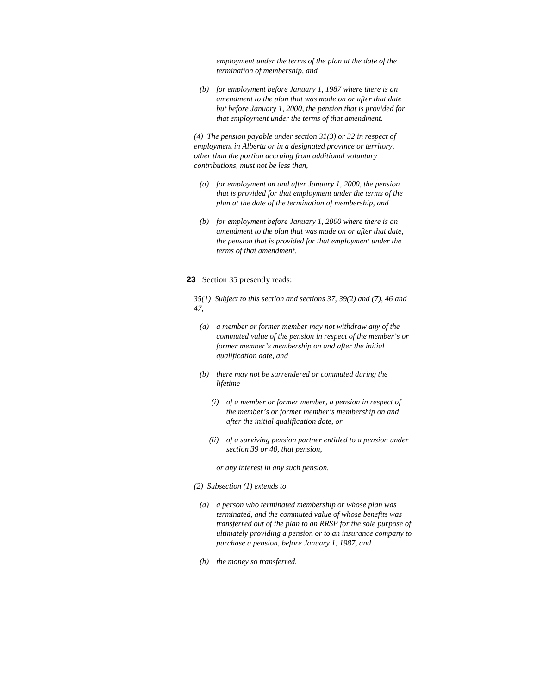*employment under the terms of the plan at the date of the termination of membership, and* 

 *(b) for employment before January 1, 1987 where there is an amendment to the plan that was made on or after that date but before January 1, 2000, the pension that is provided for that employment under the terms of that amendment.* 

*(4) The pension payable under section 31(3) or 32 in respect of employment in Alberta or in a designated province or territory, other than the portion accruing from additional voluntary contributions, must not be less than,* 

- *(a) for employment on and after January 1, 2000, the pension that is provided for that employment under the terms of the plan at the date of the termination of membership, and*
- *(b) for employment before January 1, 2000 where there is an amendment to the plan that was made on or after that date, the pension that is provided for that employment under the terms of that amendment.*

## **23** Section 35 presently reads:

*35(1) Subject to this section and sections 37, 39(2) and (7), 46 and 47,* 

- *(a) a member or former member may not withdraw any of the commuted value of the pension in respect of the member's or former member's membership on and after the initial qualification date, and*
- *(b) there may not be surrendered or commuted during the lifetime* 
	- *(i) of a member or former member, a pension in respect of the member's or former member's membership on and after the initial qualification date, or*
	- *(ii) of a surviving pension partner entitled to a pension under section 39 or 40, that pension,*

 *or any interest in any such pension.* 

- *(2) Subsection (1) extends to*
- *(a) a person who terminated membership or whose plan was terminated, and the commuted value of whose benefits was transferred out of the plan to an RRSP for the sole purpose of ultimately providing a pension or to an insurance company to purchase a pension, before January 1, 1987, and*
- *(b) the money so transferred.*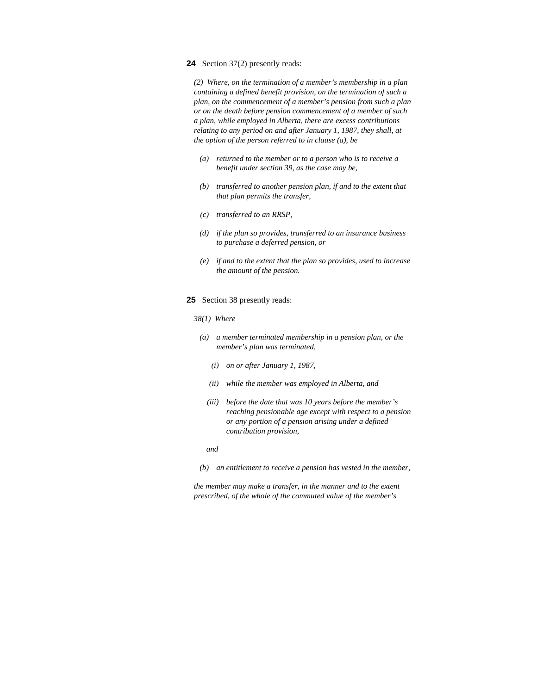### **24** Section 37(2) presently reads:

*(2) Where, on the termination of a member's membership in a plan containing a defined benefit provision, on the termination of such a plan, on the commencement of a member's pension from such a plan or on the death before pension commencement of a member of such a plan, while employed in Alberta, there are excess contributions relating to any period on and after January 1, 1987, they shall, at the option of the person referred to in clause (a), be* 

- *(a) returned to the member or to a person who is to receive a benefit under section 39, as the case may be,*
- *(b) transferred to another pension plan, if and to the extent that that plan permits the transfer,*
- *(c) transferred to an RRSP,*
- *(d) if the plan so provides, transferred to an insurance business to purchase a deferred pension, or*
- *(e) if and to the extent that the plan so provides, used to increase the amount of the pension.*
- **25** Section 38 presently reads:
	- *38(1) Where*
	- *(a) a member terminated membership in a pension plan, or the member's plan was terminated,* 
		- *(i) on or after January 1, 1987,*
		- *(ii) while the member was employed in Alberta, and*
		- *(iii) before the date that was 10 years before the member's reaching pensionable age except with respect to a pension or any portion of a pension arising under a defined contribution provision,*
- *and and* 
	- *(b) an entitlement to receive a pension has vested in the member,*

*the member may make a transfer, in the manner and to the extent prescribed, of the whole of the commuted value of the member's*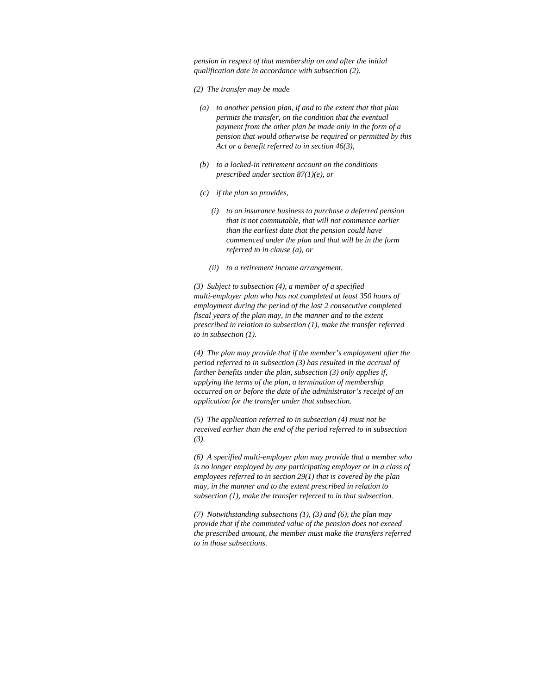*pension in respect of that membership on and after the initial qualification date in accordance with subsection (2).* 

- *(2) The transfer may be made*
- *(a) to another pension plan, if and to the extent that that plan permits the transfer, on the condition that the eventual payment from the other plan be made only in the form of a pension that would otherwise be required or permitted by this Act or a benefit referred to in section 46(3),*
- *(b) to a locked-in retirement account on the conditions prescribed under section 87(1)(e), or*
- *(c) if the plan so provides,* 
	- *(i) to an insurance business to purchase a deferred pension that is not commutable, that will not commence earlier than the earliest date that the pension could have commenced under the plan and that will be in the form referred to in clause (a), or*
	- *(ii) to a retirement income arrangement.*

*(3) Subject to subsection (4), a member of a specified multi-employer plan who has not completed at least 350 hours of employment during the period of the last 2 consecutive completed fiscal years of the plan may, in the manner and to the extent prescribed in relation to subsection (1), make the transfer referred to in subsection (1).* 

*(4) The plan may provide that if the member's employment after the period referred to in subsection (3) has resulted in the accrual of further benefits under the plan, subsection (3) only applies if, applying the terms of the plan, a termination of membership occurred on or before the date of the administrator's receipt of an application for the transfer under that subsection.* 

*(5) The application referred to in subsection (4) must not be received earlier than the end of the period referred to in subsection (3).* 

*(6) A specified multi-employer plan may provide that a member who is no longer employed by any participating employer or in a class of employees referred to in section 29(1) that is covered by the plan may, in the manner and to the extent prescribed in relation to subsection (1), make the transfer referred to in that subsection.* 

*(7) Notwithstanding subsections (1), (3) and (6), the plan may provide that if the commuted value of the pension does not exceed the prescribed amount, the member must make the transfers referred to in those subsections.*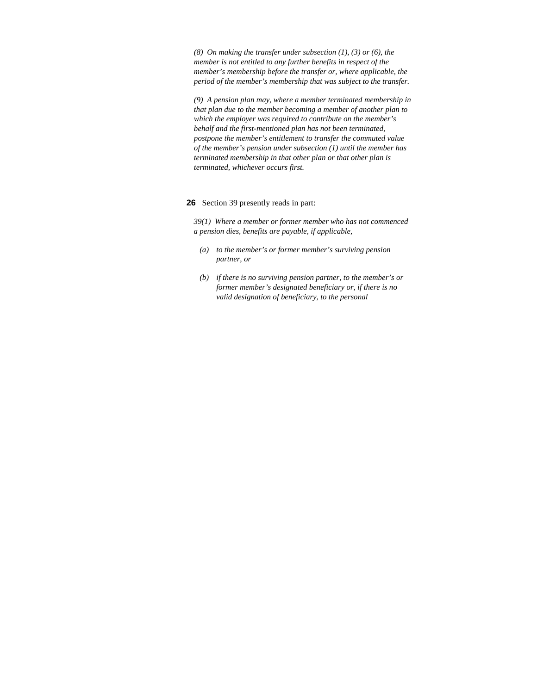*(8) On making the transfer under subsection (1), (3) or (6), the member is not entitled to any further benefits in respect of the member's membership before the transfer or, where applicable, the period of the member's membership that was subject to the transfer.* 

*(9) A pension plan may, where a member terminated membership in that plan due to the member becoming a member of another plan to which the employer was required to contribute on the member's behalf and the first-mentioned plan has not been terminated, postpone the member's entitlement to transfer the commuted value of the member's pension under subsection (1) until the member has terminated membership in that other plan or that other plan is terminated, whichever occurs first.* 

## **26** Section 39 presently reads in part:

*39(1) Where a member or former member who has not commenced a pension dies, benefits are payable, if applicable,* 

- *(a) to the member's or former member's surviving pension partner, or*
- *(b) if there is no surviving pension partner, to the member's or former member's designated beneficiary or, if there is no valid designation of beneficiary, to the personal*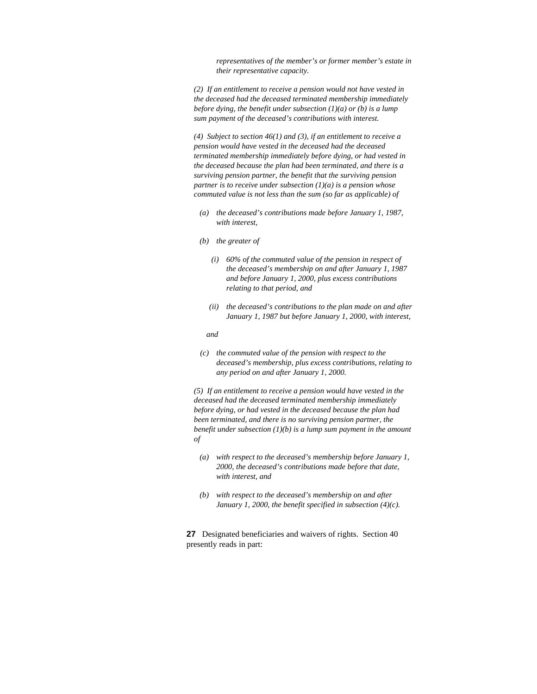*representatives of the member's or former member's estate in their representative capacity.* 

*(2) If an entitlement to receive a pension would not have vested in the deceased had the deceased terminated membership immediately before dying, the benefit under subsection (1)(a) or (b) is a lump sum payment of the deceased's contributions with interest.* 

*(4) Subject to section 46(1) and (3), if an entitlement to receive a pension would have vested in the deceased had the deceased terminated membership immediately before dying, or had vested in the deceased because the plan had been terminated, and there is a surviving pension partner, the benefit that the surviving pension partner is to receive under subsection (1)(a) is a pension whose commuted value is not less than the sum (so far as applicable) of* 

- *(a) the deceased's contributions made before January 1, 1987, with interest,*
- *(b) the greater of* 
	- *(i) 60% of the commuted value of the pension in respect of the deceased's membership on and after January 1, 1987 and before January 1, 2000, plus excess contributions relating to that period, and*
	- *(ii) the deceased's contributions to the plan made on and after January 1, 1987 but before January 1, 2000, with interest,*

 *and* 

 *(c) the commuted value of the pension with respect to the deceased's membership, plus excess contributions, relating to any period on and after January 1, 2000.* 

*(5) If an entitlement to receive a pension would have vested in the deceased had the deceased terminated membership immediately before dying, or had vested in the deceased because the plan had been terminated, and there is no surviving pension partner, the benefit under subsection (1)(b) is a lump sum payment in the amount of* 

- *(a) with respect to the deceased's membership before January 1, 2000, the deceased's contributions made before that date, with interest, and*
- *(b) with respect to the deceased's membership on and after January 1, 2000, the benefit specified in subsection (4)(c).*

**27** Designated beneficiaries and waivers of rights. Section 40 presently reads in part: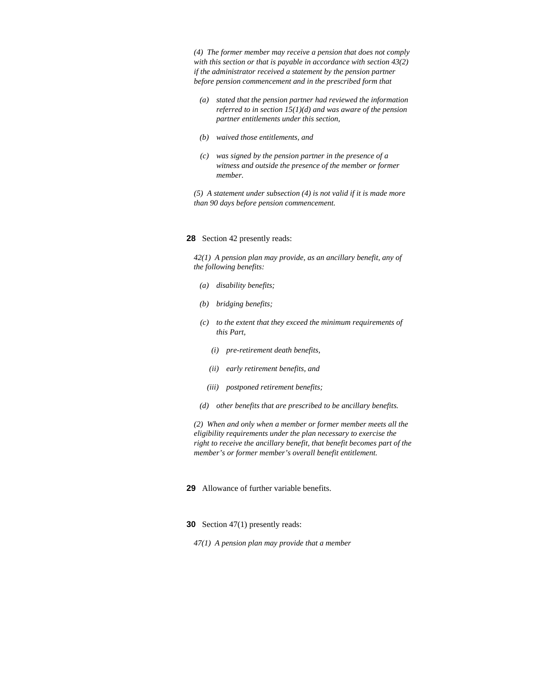*(4) The former member may receive a pension that does not comply with this section or that is payable in accordance with section 43(2) if the administrator received a statement by the pension partner before pension commencement and in the prescribed form that* 

- *(a) stated that the pension partner had reviewed the information referred to in section 15(1)(d) and was aware of the pension partner entitlements under this section,*
- *(b) waived those entitlements, and*
- *(c) was signed by the pension partner in the presence of a witness and outside the presence of the member or former member.*

*(5) A statement under subsection (4) is not valid if it is made more than 90 days before pension commencement.* 

### **28** Section 42 presently reads:

*42(1) A pension plan may provide, as an ancillary benefit, any of the following benefits:* 

- *(a) disability benefits;*
- *(b) bridging benefits;*
- *(c) to the extent that they exceed the minimum requirements of this Part,* 
	- *(i) pre-retirement death benefits,*
	- *(ii) early retirement benefits, and*
	- *(iii) postponed retirement benefits;*
- *(d) other benefits that are prescribed to be ancillary benefits.*

*(2) When and only when a member or former member meets all the eligibility requirements under the plan necessary to exercise the right to receive the ancillary benefit, that benefit becomes part of the member's or former member's overall benefit entitlement.* 

**29** Allowance of further variable benefits.

- **30** Section 47(1) presently reads:
	- *47(1) A pension plan may provide that a member*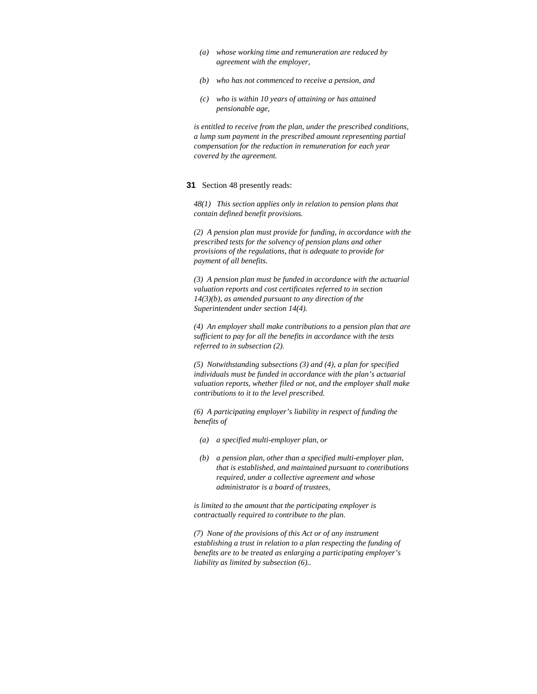- *(a) whose working time and remuneration are reduced by agreement with the employer,*
- *(b) who has not commenced to receive a pension, and*
- *(c) who is within 10 years of attaining or has attained pensionable age,*

*is entitled to receive from the plan, under the prescribed conditions, a lump sum payment in the prescribed amount representing partial compensation for the reduction in remuneration for each year covered by the agreement.* 

#### **31** Section 48 presently reads:

*48(1) This section applies only in relation to pension plans that contain defined benefit provisions.* 

*(2) A pension plan must provide for funding, in accordance with the prescribed tests for the solvency of pension plans and other provisions of the regulations, that is adequate to provide for payment of all benefits.* 

*(3) A pension plan must be funded in accordance with the actuarial valuation reports and cost certificates referred to in section 14(3)(b), as amended pursuant to any direction of the Superintendent under section 14(4).* 

*(4) An employer shall make contributions to a pension plan that are sufficient to pay for all the benefits in accordance with the tests referred to in subsection (2).* 

*(5) Notwithstanding subsections (3) and (4), a plan for specified individuals must be funded in accordance with the plan's actuarial valuation reports, whether filed or not, and the employer shall make contributions to it to the level prescribed.* 

*(6) A participating employer's liability in respect of funding the benefits of* 

- *(a) a specified multi-employer plan, or*
- *(b) a pension plan, other than a specified multi-employer plan, that is established, and maintained pursuant to contributions required, under a collective agreement and whose administrator is a board of trustees,*

*is limited to the amount that the participating employer is contractually required to contribute to the plan.* 

*(7) None of the provisions of this Act or of any instrument establishing a trust in relation to a plan respecting the funding of benefits are to be treated as enlarging a participating employer's liability as limited by subsection (6)..*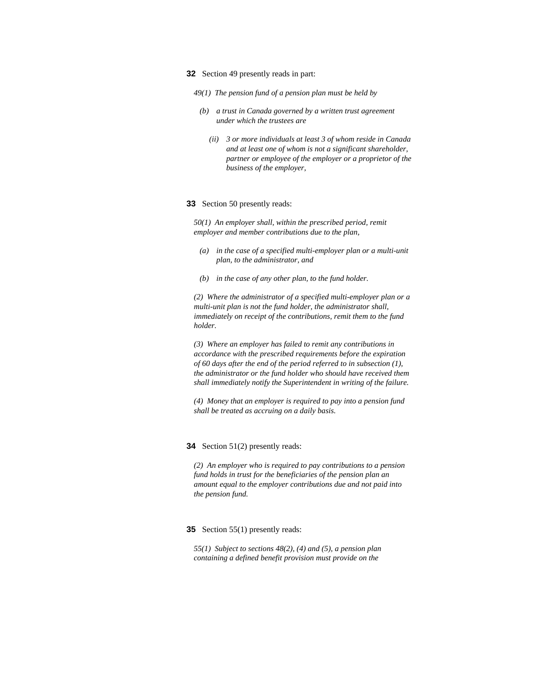- **32** Section 49 presently reads in part:
	- *49(1) The pension fund of a pension plan must be held by*
	- *(b) a trust in Canada governed by a written trust agreement under which the trustees are* 
		- *(ii) 3 or more individuals at least 3 of whom reside in Canada and at least one of whom is not a significant shareholder, partner or employee of the employer or a proprietor of the business of the employer,*

#### **33** Section 50 presently reads:

*50(1) An employer shall, within the prescribed period, remit employer and member contributions due to the plan,* 

- *(a) in the case of a specified multi-employer plan or a multi-unit plan, to the administrator, and*
- *(b) in the case of any other plan, to the fund holder.*

*(2) Where the administrator of a specified multi-employer plan or a multi-unit plan is not the fund holder, the administrator shall, immediately on receipt of the contributions, remit them to the fund holder.* 

*(3) Where an employer has failed to remit any contributions in accordance with the prescribed requirements before the expiration of 60 days after the end of the period referred to in subsection (1), the administrator or the fund holder who should have received them shall immediately notify the Superintendent in writing of the failure.* 

*(4) Money that an employer is required to pay into a pension fund shall be treated as accruing on a daily basis.* 

# **34** Section 51(2) presently reads:

*(2) An employer who is required to pay contributions to a pension fund holds in trust for the beneficiaries of the pension plan an amount equal to the employer contributions due and not paid into the pension fund.* 

### **35** Section 55(1) presently reads:

*55(1) Subject to sections 48(2), (4) and (5), a pension plan containing a defined benefit provision must provide on the*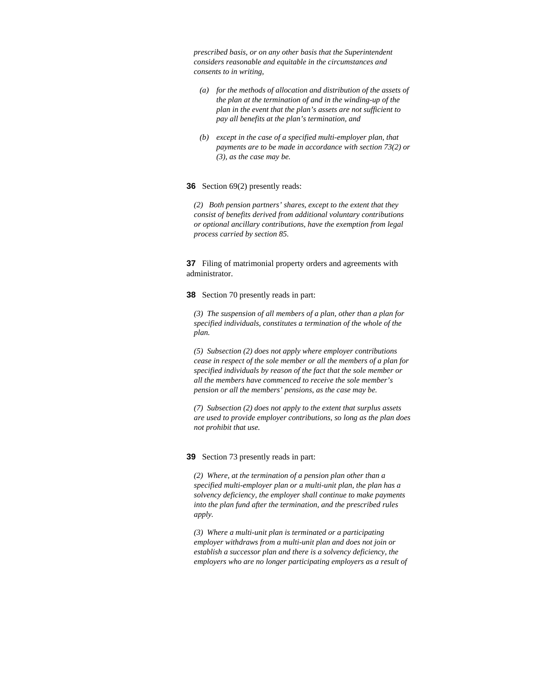*prescribed basis, or on any other basis that the Superintendent considers reasonable and equitable in the circumstances and consents to in writing,* 

- *(a) for the methods of allocation and distribution of the assets of the plan at the termination of and in the winding-up of the plan in the event that the plan's assets are not sufficient to pay all benefits at the plan's termination, and*
- *(b) except in the case of a specified multi-employer plan, that payments are to be made in accordance with section 73(2) or (3), as the case may be.*

### **36** Section 69(2) presently reads:

*(2) Both pension partners' shares, except to the extent that they consist of benefits derived from additional voluntary contributions or optional ancillary contributions, have the exemption from legal process carried by section 85.* 

**37** Filing of matrimonial property orders and agreements with administrator.

**38** Section 70 presently reads in part:

*(3) The suspension of all members of a plan, other than a plan for specified individuals, constitutes a termination of the whole of the plan.* 

*(5) Subsection (2) does not apply where employer contributions cease in respect of the sole member or all the members of a plan for specified individuals by reason of the fact that the sole member or all the members have commenced to receive the sole member's pension or all the members' pensions, as the case may be.* 

*(7) Subsection (2) does not apply to the extent that surplus assets are used to provide employer contributions, so long as the plan does not prohibit that use.* 

**39** Section 73 presently reads in part:

*(2) Where, at the termination of a pension plan other than a specified multi-employer plan or a multi-unit plan, the plan has a solvency deficiency, the employer shall continue to make payments into the plan fund after the termination, and the prescribed rules apply.* 

*(3) Where a multi-unit plan is terminated or a participating employer withdraws from a multi-unit plan and does not join or establish a successor plan and there is a solvency deficiency, the employers who are no longer participating employers as a result of*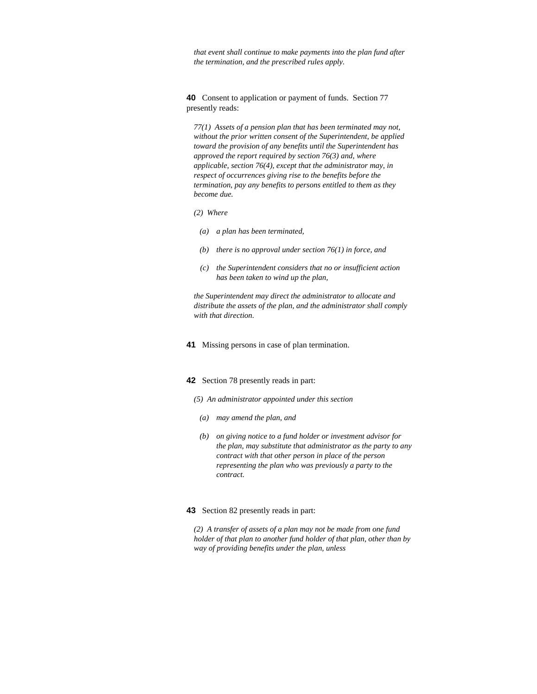*that event shall continue to make payments into the plan fund after the termination, and the prescribed rules apply.* 

**40** Consent to application or payment of funds. Section 77 presently reads:

*77(1) Assets of a pension plan that has been terminated may not, without the prior written consent of the Superintendent, be applied toward the provision of any benefits until the Superintendent has approved the report required by section 76(3) and, where applicable, section 76(4), except that the administrator may, in respect of occurrences giving rise to the benefits before the termination, pay any benefits to persons entitled to them as they become due.* 

*(2) Where* 

- *(a) a plan has been terminated,*
- *(b) there is no approval under section 76(1) in force, and*
- *(c) the Superintendent considers that no or insufficient action has been taken to wind up the plan,*

*the Superintendent may direct the administrator to allocate and distribute the assets of the plan, and the administrator shall comply with that direction.* 

**41** Missing persons in case of plan termination.

## **42** Section 78 presently reads in part:

- *(5) An administrator appointed under this section*
- *(a) may amend the plan, and*
- *(b) on giving notice to a fund holder or investment advisor for the plan, may substitute that administrator as the party to any contract with that other person in place of the person representing the plan who was previously a party to the contract.*

#### **43** Section 82 presently reads in part:

*(2) A transfer of assets of a plan may not be made from one fund holder of that plan to another fund holder of that plan, other than by way of providing benefits under the plan, unless*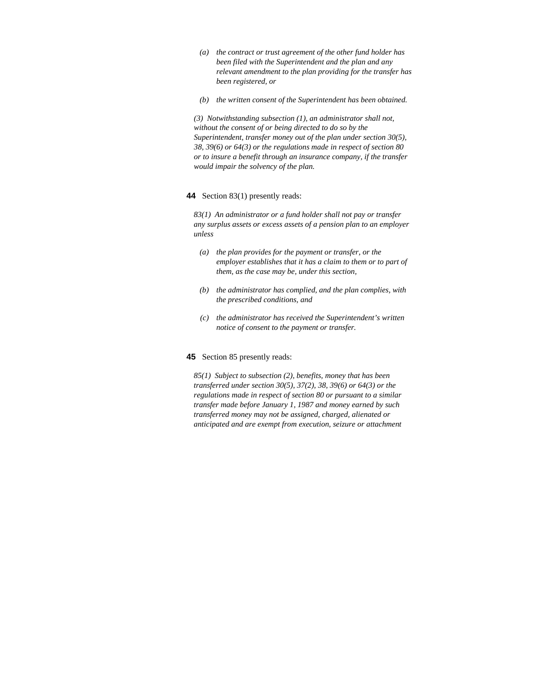- *(a) the contract or trust agreement of the other fund holder has been filed with the Superintendent and the plan and any relevant amendment to the plan providing for the transfer has been registered, or*
- *(b) the written consent of the Superintendent has been obtained.*

*(3) Notwithstanding subsection (1), an administrator shall not, without the consent of or being directed to do so by the Superintendent, transfer money out of the plan under section 30(5), 38, 39(6) or 64(3) or the regulations made in respect of section 80 or to insure a benefit through an insurance company, if the transfer would impair the solvency of the plan.* 

#### **44** Section 83(1) presently reads:

*83(1) An administrator or a fund holder shall not pay or transfer any surplus assets or excess assets of a pension plan to an employer unless* 

- *(a) the plan provides for the payment or transfer, or the employer establishes that it has a claim to them or to part of them, as the case may be, under this section,*
- *(b) the administrator has complied, and the plan complies, with the prescribed conditions, and*
- *(c) the administrator has received the Superintendent's written notice of consent to the payment or transfer.*

### **45** Section 85 presently reads:

*85(1) Subject to subsection (2), benefits, money that has been transferred under section 30(5), 37(2), 38, 39(6) or 64(3) or the regulations made in respect of section 80 or pursuant to a similar transfer made before January 1, 1987 and money earned by such transferred money may not be assigned, charged, alienated or anticipated and are exempt from execution, seizure or attachment*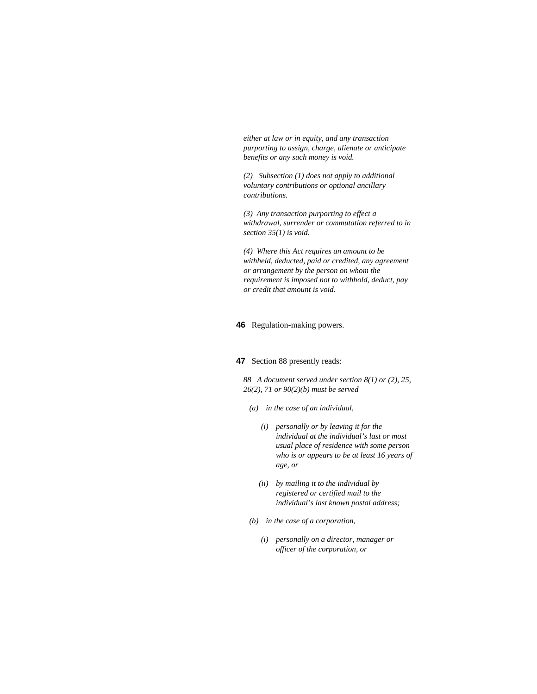*either at law or in equity, and any transaction purporting to assign, charge, alienate or anticipate benefits or any such money is void.* 

*(2) Subsection (1) does not apply to additional voluntary contributions or optional ancillary contributions.* 

*(3) Any transaction purporting to effect a withdrawal, surrender or commutation referred to in section 35(1) is void.* 

*(4) Where this Act requires an amount to be withheld, deducted, paid or credited, any agreement or arrangement by the person on whom the requirement is imposed not to withhold, deduct, pay or credit that amount is void.* 

### **46** Regulation-making powers.

# **47** Section 88 presently reads:

*88 A document served under section 8(1) or (2), 25, 26(2), 71 or 90(2)(b) must be served* 

- *(a) in the case of an individual,* 
	- *(i) personally or by leaving it for the individual at the individual's last or most usual place of residence with some person who is or appears to be at least 16 years of age, or*
	- *(ii) by mailing it to the individual by registered or certified mail to the individual's last known postal address;*
- *(b) in the case of a corporation,* 
	- *(i) personally on a director, manager or officer of the corporation, or*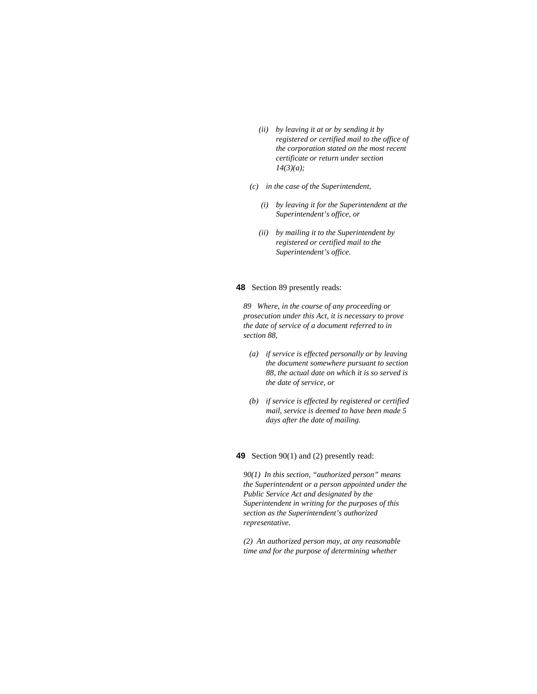- *(ii) by leaving it at or by sending it by registered or certified mail to the office of the corporation stated on the most recent certificate or return under section 14(3)(a);*
- *(c) in the case of the Superintendent,* 
	- *(i) by leaving it for the Superintendent at the Superintendent's office, or*
	- *(ii) by mailing it to the Superintendent by registered or certified mail to the Superintendent's office.*

# **48** Section 89 presently reads:

*89 Where, in the course of any proceeding or prosecution under this Act, it is necessary to prove the date of service of a document referred to in section 88,* 

- *(a) if service is effected personally or by leaving the document somewhere pursuant to section 88, the actual date on which it is so served is the date of service, or*
- *(b) if service is effected by registered or certified mail, service is deemed to have been made 5 days after the date of mailing.*

### **49** Section 90(1) and (2) presently read:

*90(1) In this section, "authorized person" means the Superintendent or a person appointed under the Public Service Act and designated by the Superintendent in writing for the purposes of this section as the Superintendent's authorized representative.* 

*(2) An authorized person may, at any reasonable time and for the purpose of determining whether*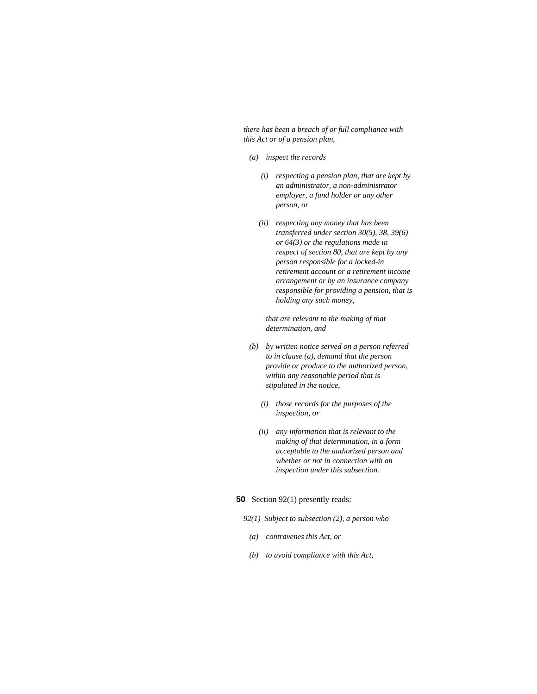*there has been a breach of or full compliance with this Act or of a pension plan,* 

- *(a) inspect the records* 
	- *(i) respecting a pension plan, that are kept by an administrator, a non-administrator employer, a fund holder or any other person, or*
	- *(ii) respecting any money that has been transferred under section 30(5), 38, 39(6) or 64(3) or the regulations made in respect of section 80, that are kept by any person responsible for a locked-in retirement account or a retirement income arrangement or by an insurance company responsible for providing a pension, that is holding any such money,*

 *that are relevant to the making of that determination, and* 

- *(b) by written notice served on a person referred to in clause (a), demand that the person provide or produce to the authorized person, within any reasonable period that is stipulated in the notice,* 
	- *(i) those records for the purposes of the inspection, or*
	- *(ii) any information that is relevant to the making of that determination, in a form acceptable to the authorized person and whether or not in connection with an inspection under this subsection.*

### **50** Section 92(1) presently reads:

- *92(1) Subject to subsection (2), a person who*
- *(a) contravenes this Act, or*
- *(b) to avoid compliance with this Act,*